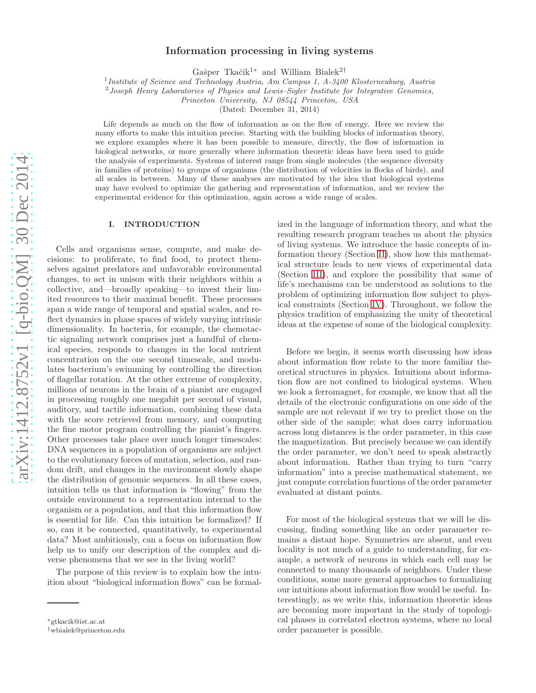# Information processing in living systems

Gašper Tkačik<sup>1</sup><sup>\*</sup> and William Bialek<sup>2†</sup>

1 *Institute of Science and Technology Austria, Am Campus 1, A-3400 Klosterneuburg, Austria*

2 *Joseph Henry Laboratories of Physics and Lewis–Sigler Institute for Integrative Genomics,*

*Princeton University, NJ 08544 Princeton, USA*

(Dated: December 31, 2014)

Life depends as much on the flow of information as on the flow of energy. Here we review the many efforts to make this intuition precise. Starting with the building blocks of information theory, we explore examples where it has been possible to measure, directly, the flow of information in biological networks, or more generally where information theoretic ideas have been used to guide the analysis of experiments. Systems of interest range from single molecules (the sequence diversity in families of proteins) to groups of organisms (the distribution of velocities in flocks of birds), and all scales in between. Many of these analyses are motivated by the idea that biological systems may have evolved to optimize the gathering and representation of information, and we review the experimental evidence for this optimization, again across a wide range of scales.

### I. INTRODUCTION

Cells and organisms sense, compute, and make decisions: to proliferate, to find food, to protect themselves against predators and unfavorable environmental changes, to act in unison with their neighbors within a collective, and—broadly speaking—to invest their limited resources to their maximal benefit. These processes span a wide range of temporal and spatial scales, and reflect dynamics in phase spaces of widely varying intrinsic dimensionality. In bacteria, for example, the chemotactic signaling network comprises just a handful of chemical species, responds to changes in the local nutrient concentration on the one second timescale, and modulates bacterium's swimming by controlling the direction of flagellar rotation. At the other extreme of complexity, millions of neurons in the brain of a pianist are engaged in processing roughly one megabit per second of visual, auditory, and tactile information, combining these data with the score retrieved from memory, and computing the fine motor program controlling the pianist's fingers. Other processes take place over much longer timescales: DNA sequences in a population of organisms are subject to the evolutionary forces of mutation, selection, and random drift, and changes in the environment slowly shape the distribution of genomic sequences. In all these cases, intuition tells us that information is "flowing" from the outside environment to a representation internal to the organism or a population, and that this information flow is essential for life. Can this intuition be formalized? If so, can it be connected, quantitatively, to experimental data? Most ambitiously, can a focus on information flow help us to unify our description of the complex and diverse phenomena that we see in the living world?

The purpose of this review is to explain how the intuition about "biological information flows" can be formalized in the language of information theory, and what the resulting research program teaches us about the physics of living systems. We introduce the basic concepts of information theory (Section [II\)](#page-1-0), show how this mathematical structure leads to new views of experimental data (Section [III\)](#page-3-0), and explore the possibility that some of life's mechanisms can be understood as solutions to the problem of optimizing information flow subject to physical constraints (Section [IV\)](#page-8-0). Throughout, we follow the physics tradition of emphasizing the unity of theoretical ideas at the expense of some of the biological complexity.

Before we begin, it seems worth discussing how ideas about information flow relate to the more familiar theoretical structures in physics. Intuitions about information flow are not confined to biological systems. When we look a ferromagnet, for example, we know that all the details of the electronic configurations on one side of the sample are not relevant if we try to predict those on the other side of the sample; what does carry information across long distances is the order parameter, in this case the magnetization. But precisely because we can identify the order parameter, we don't need to speak abstractly about information. Rather than trying to turn "carry information" into a precise mathematical statement, we just compute correlation functions of the order parameter evaluated at distant points.

For most of the biological systems that we will be discussing, finding something like an order parameter remains a distant hope. Symmetries are absent, and even locality is not much of a guide to understanding, for example, a network of neurons in which each cell may be connected to many thousands of neighbors. Under these conditions, some more general approaches to formalizing our intuitions about information flow would be useful. Interestingly, as we write this, information theoretic ideas are becoming more important in the study of topological phases in correlated electron systems, where no local order parameter is possible.

<sup>∗</sup>gtkacik@ist.ac.at

<sup>†</sup>wbialek@princeton.edu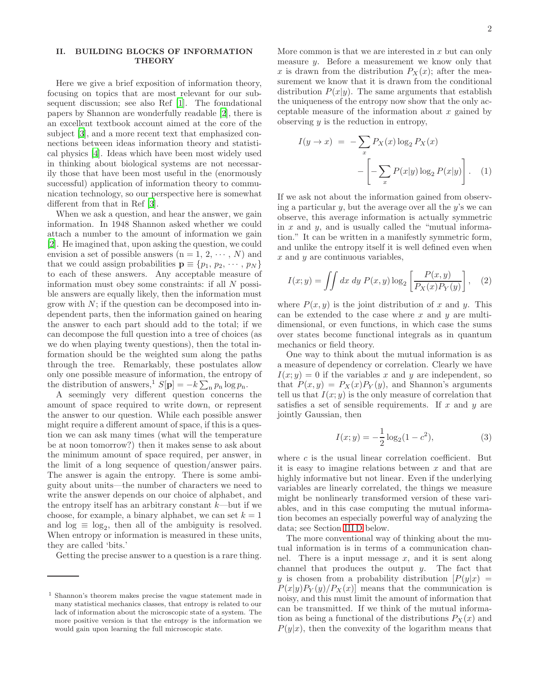## <span id="page-1-0"></span>II. BUILDING BLOCKS OF INFORMATION **THEORY**

Here we give a brief exposition of information theory, focusing on topics that are most relevant for our subsequent discussion; see also Ref [\[1\]](#page-15-0). The foundational papers by Shannon are wonderfully readable [\[2](#page-15-1)], there is an excellent textbook account aimed at the core of the subject [\[3](#page-15-2)], and a more recent text that emphasized connections between ideas information theory and statistical physics [\[4\]](#page-15-3). Ideas which have been most widely used in thinking about biological systems are not necessarily those that have been most useful in the (enormously successful) application of information theory to communication technology, so our perspective here is somewhat different from that in Ref [\[3\]](#page-15-2).

When we ask a question, and hear the answer, we gain information. In 1948 Shannon asked whether we could attach a number to the amount of information we gain [\[2\]](#page-15-1). He imagined that, upon asking the question, we could envision a set of possible answers  $(n = 1, 2, \cdots, N)$  and that we could assign probabilities  $\mathbf{p} \equiv \{p_1, p_2, \cdots, p_N\}$ to each of these answers. Any acceptable measure of information must obey some constraints: if all N possible answers are equally likely, then the information must grow with  $N$ ; if the question can be decomposed into independent parts, then the information gained on hearing the answer to each part should add to the total; if we can decompose the full question into a tree of choices (as we do when playing twenty questions), then the total information should be the weighted sum along the paths through the tree. Remarkably, these postulates allow only one possible measure of information, the entropy of the distribution of answers,<sup>1</sup>  $S[\mathbf{p}] = -k \sum_{n} p_n \log p_n$ .

A seemingly very different question concerns the amount of space required to write down, or represent the answer to our question. While each possible answer might require a different amount of space, if this is a question we can ask many times (what will the temperature be at noon tomorrow?) then it makes sense to ask about the minimum amount of space required, per answer, in the limit of a long sequence of question/answer pairs. The answer is again the entropy. There is some ambiguity about units—the number of characters we need to write the answer depends on our choice of alphabet, and the entropy itself has an arbitrary constant  $k$ —but if we choose, for example, a binary alphabet, we can set  $k = 1$ and  $\log \equiv \log_2$ , then all of the ambiguity is resolved. When entropy or information is measured in these units, they are called 'bits.'

Getting the precise answer to a question is a rare thing.

More common is that we are interested in  $x$  but can only measure y. Before a measurement we know only that x is drawn from the distribution  $P_X(x)$ ; after the measurement we know that it is drawn from the conditional distribution  $P(x|y)$ . The same arguments that establish the uniqueness of the entropy now show that the only acceptable measure of the information about  $x$  gained by observing  $y$  is the reduction in entropy,

<span id="page-1-1"></span>
$$
I(y \to x) = -\sum_{x} P_X(x) \log_2 P_X(x)
$$

$$
- \left[ -\sum_{x} P(x|y) \log_2 P(x|y) \right]. \quad (1)
$$

If we ask not about the information gained from observing a particular  $y$ , but the average over all the  $y$ 's we can observe, this average information is actually symmetric in  $x$  and  $y$ , and is usually called the "mutual information." It can be written in a manifestly symmetric form, and unlike the entropy itself it is well defined even when  $x$  and  $y$  are continuous variables,

$$
I(x; y) = \iint dx dy P(x, y) \log_2 \left[ \frac{P(x, y)}{P_X(x) P_Y(y)} \right], \quad (2)
$$

where  $P(x, y)$  is the joint distribution of x and y. This can be extended to the case where  $x$  and  $y$  are multidimensional, or even functions, in which case the sums over states become functional integrals as in quantum mechanics or field theory.

One way to think about the mutual information is as a measure of dependency or correlation. Clearly we have  $I(x; y) = 0$  if the variables x and y are independent, so that  $P(x, y) = P_X(x)P_Y(y)$ , and Shannon's arguments tell us that  $I(x; y)$  is the only measure of correlation that satisfies a set of sensible requirements. If  $x$  and  $y$  are jointly Gaussian, then

$$
I(x; y) = -\frac{1}{2}\log_2(1 - c^2),\tag{3}
$$

where  $c$  is the usual linear correlation coefficient. But it is easy to imagine relations between  $x$  and that are highly informative but not linear. Even if the underlying variables are linearly correlated, the things we measure might be nonlinearly transformed version of these variables, and in this case computing the mutual information becomes an especially powerful way of analyzing the data; see Section [III D](#page-7-0) below.

The more conventional way of thinking about the mutual information is in terms of a communication channel. There is a input message  $x$ , and it is sent along channel that produces the output  $y$ . The fact that y is chosen from a probability distribution  $[P(y|x)]$  $P(x|y)P_Y(y)/P_X(x)$  means that the communication is noisy, and this must limit the amount of information that can be transmitted. If we think of the mutual information as being a functional of the distributions  $P_X(x)$  and  $P(y|x)$ , then the convexity of the logarithm means that

<sup>1</sup> Shannon's theorem makes precise the vague statement made in many statistical mechanics classes, that entropy is related to our lack of information about the microscopic state of a system. The more positive version is that the entropy is the information we would gain upon learning the full microscopic state.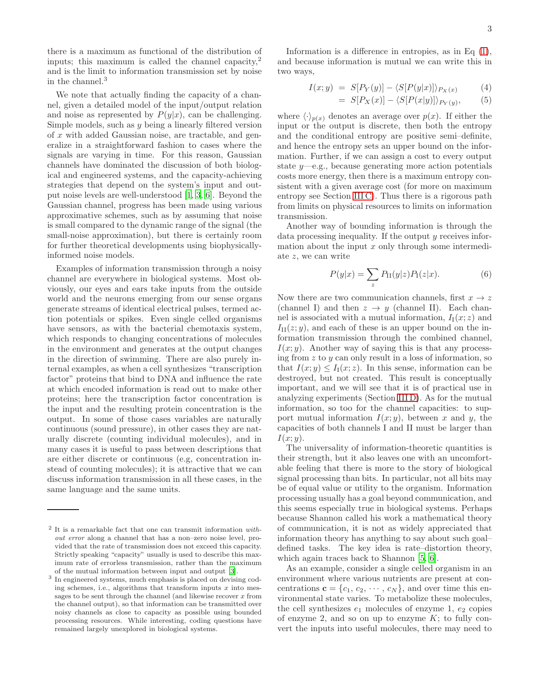there is a maximum as functional of the distribution of inputs; this maximum is called the channel capacity, $^2$ and is the limit to information transmission set by noise in the channel.<sup>3</sup>

We note that actually finding the capacity of a channel, given a detailed model of the input/output relation and noise as represented by  $P(y|x)$ , can be challenging. Simple models, such as  $y$  being a linearly filtered version of x with added Gaussian noise, are tractable, and generalize in a straightforward fashion to cases where the signals are varying in time. For this reason, Gaussian channels have dominated the discussion of both biological and engineered systems, and the capacity-achieving strategies that depend on the system's input and output noise levels are well-understood [\[1,](#page-15-0) [3](#page-15-2), [6\]](#page-15-4). Beyond the Gaussian channel, progress has been made using various approximative schemes, such as by assuming that noise is small compared to the dynamic range of the signal (the small-noise approximation), but there is certainly room for further theoretical developments using biophysicallyinformed noise models.

Examples of information transmission through a noisy channel are everywhere in biological systems. Most obviously, our eyes and ears take inputs from the outside world and the neurons emerging from our sense organs generate streams of identical electrical pulses, termed action potentials or spikes. Even single celled organisms have sensors, as with the bacterial chemotaxis system, which responds to changing concentrations of molecules in the environment and generates at the output changes in the direction of swimming. There are also purely internal examples, as when a cell synthesizes "transcription factor" proteins that bind to DNA and influence the rate at which encoded information is read out to make other proteins; here the transcription factor concentration is the input and the resulting protein concentration is the output. In some of those cases variables are naturally continuous (sound pressure), in other cases they are naturally discrete (counting individual molecules), and in many cases it is useful to pass between descriptions that are either discrete or continuous (e.g, concentration instead of counting molecules); it is attractive that we can discuss information transmission in all these cases, in the same language and the same units.

Information is a difference in entropies, as in Eq [\(1\)](#page-1-1), and because information is mutual we can write this in two ways,

$$
I(x; y) = S[P_Y(y)] - \langle S[P(y|x)] \rangle_{P_X(x)} \tag{4}
$$

$$
= S[P_X(x)] - \langle S[P(x|y)] \rangle_{P_Y(y)}, \qquad (5)
$$

where  $\langle \cdot \rangle_{p(x)}$  denotes an average over  $p(x)$ . If either the input or the output is discrete, then both the entropy and the conditional entropy are positive semi–definite, and hence the entropy sets an upper bound on the information. Further, if we can assign a cost to every output state  $y$ —e.g., because generating more action potentials costs more energy, then there is a maximum entropy consistent with a given average cost (for more on maximum entropy see Section [III C\)](#page-5-0). Thus there is a rigorous path from limits on physical resources to limits on information transmission.

Another way of bounding information is through the data processing inequality. If the output y receives information about the input  $x$  only through some intermediate z, we can write

$$
P(y|x) = \sum_{z} P_{\text{II}}(y|z) P_{\text{I}}(z|x). \tag{6}
$$

Now there are two communication channels, first  $x \to z$ (channel I) and then  $z \rightarrow y$  (channel II). Each channel is associated with a mutual information,  $I_I(x; z)$  and  $I_{\text{II}}(z; y)$ , and each of these is an upper bound on the information transmission through the combined channel,  $I(x; y)$ . Another way of saying this is that any processing from  $z$  to  $y$  can only result in a loss of information, so that  $I(x; y) \leq I_1(x; z)$ . In this sense, information can be destroyed, but not created. This result is conceptually important, and we will see that it is of practical use in analyzing experiments (Section [III D\)](#page-7-0). As for the mutual information, so too for the channel capacities: to support mutual information  $I(x; y)$ , between x and y, the capacities of both channels I and II must be larger than  $I(x; y)$ .

The universality of information-theoretic quantities is their strength, but it also leaves one with an uncomfortable feeling that there is more to the story of biological signal processing than bits. In particular, not all bits may be of equal value or utility to the organism. Information processing usually has a goal beyond communication, and this seems especially true in biological systems. Perhaps because Shannon called his work a mathematical theory of communication, it is not as widely appreciated that information theory has anything to say about such goal– defined tasks. The key idea is rate–distortion theory, which again traces back to Shannon [\[5](#page-15-5), [6](#page-15-4)].

As an example, consider a single celled organism in an environment where various nutrients are present at concentrations  $\mathbf{c} = \{c_1, c_2, \cdots, c_N\}$ , and over time this environmental state varies. To metabolize these molecules, the cell synthesizes  $e_1$  molecules of enzyme 1,  $e_2$  copies of enzyme 2, and so on up to enzyme  $K$ ; to fully convert the inputs into useful molecules, there may need to

<sup>2</sup> It is a remarkable fact that one can transmit information without error along a channel that has a non–zero noise level, provided that the rate of transmission does not exceed this capacity. Strictly speaking "capacity" usually is used to describe this maximum rate of errorless transmission, rather than the maximum of the mutual information between input and output [\[3\]](#page-15-2).

<sup>3</sup> In engineered systems, much emphasis is placed on devising coding schemes, i.e., algorithms that transform inputs  $x$  into messages to be sent through the channel (and likewise recover  $x$  from the channel output), so that information can be transmitted over noisy channels as close to capacity as possible using bounded processing resources. While interesting, coding questions have remained largely unexplored in biological systems.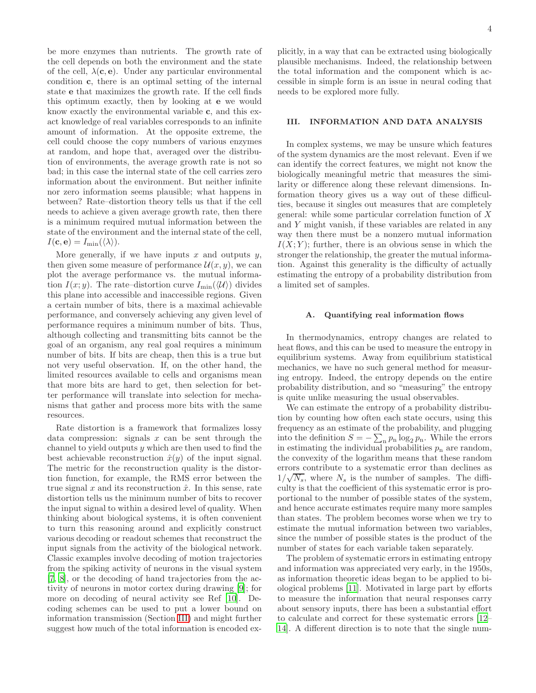be more enzymes than nutrients. The growth rate of the cell depends on both the environment and the state of the cell,  $\lambda(c, e)$ . Under any particular environmental condition c, there is an optimal setting of the internal state e that maximizes the growth rate. If the cell finds this optimum exactly, then by looking at e we would know exactly the environmental variable c, and this exact knowledge of real variables corresponds to an infinite amount of information. At the opposite extreme, the cell could choose the copy numbers of various enzymes at random, and hope that, averaged over the distribution of environments, the average growth rate is not so bad; in this case the internal state of the cell carries zero information about the environment. But neither infinite nor zero information seems plausible; what happens in between? Rate–distortion theory tells us that if the cell needs to achieve a given average growth rate, then there is a minimum required mutual information between the state of the environment and the internal state of the cell,  $I(\mathbf{c}, \mathbf{e}) = I_{\min}(\langle \lambda \rangle).$ 

More generally, if we have inputs  $x$  and outputs  $y$ , then given some measure of performance  $\mathcal{U}(x, y)$ , we can plot the average performance vs. the mutual information  $I(x; y)$ . The rate–distortion curve  $I_{\min}(\langle \mathcal{U} \rangle)$  divides this plane into accessible and inaccessible regions. Given a certain number of bits, there is a maximal achievable performance, and conversely achieving any given level of performance requires a minimum number of bits. Thus, although collecting and transmitting bits cannot be the goal of an organism, any real goal requires a minimum number of bits. If bits are cheap, then this is a true but not very useful observation. If, on the other hand, the limited resources available to cells and organisms mean that more bits are hard to get, then selection for better performance will translate into selection for mechanisms that gather and process more bits with the same resources.

Rate distortion is a framework that formalizes lossy data compression: signals  $x$  can be sent through the channel to yield outputs  $y$  which are then used to find the best achievable reconstruction  $\hat{x}(y)$  of the input signal. The metric for the reconstruction quality is the distortion function, for example, the RMS error between the true signal  $x$  and its reconstruction  $\hat{x}$ . In this sense, rate distortion tells us the minimum number of bits to recover the input signal to within a desired level of quality. When thinking about biological systems, it is often convenient to turn this reasoning around and explicitly construct various decoding or readout schemes that reconstruct the input signals from the activity of the biological network. Classic examples involve decoding of motion trajectories from the spiking activity of neurons in the visual system [\[7,](#page-15-6) [8](#page-15-7)], or the decoding of hand trajectories from the activity of neurons in motor cortex during drawing [\[9](#page-15-8)]; for more on decoding of neural activity see Ref [\[10\]](#page-15-9). Decoding schemes can be used to put a lower bound on information transmission (Section [III\)](#page-3-0) and might further suggest how much of the total information is encoded ex-

plicitly, in a way that can be extracted using biologically plausible mechanisms. Indeed, the relationship between the total information and the component which is accessible in simple form is an issue in neural coding that needs to be explored more fully.

### <span id="page-3-0"></span>III. INFORMATION AND DATA ANALYSIS

In complex systems, we may be unsure which features of the system dynamics are the most relevant. Even if we can identify the correct features, we might not know the biologically meaningful metric that measures the similarity or difference along these relevant dimensions. Information theory gives us a way out of these difficulties, because it singles out measures that are completely general: while some particular correlation function of X and Y might vanish, if these variables are related in any way then there must be a nonzero mutual information  $I(X; Y)$ ; further, there is an obvious sense in which the stronger the relationship, the greater the mutual information. Against this generality is the difficulty of actually estimating the entropy of a probability distribution from a limited set of samples.

### <span id="page-3-1"></span>A. Quantifying real information flows

In thermodynamics, entropy changes are related to heat flows, and this can be used to measure the entropy in equilibrium systems. Away from equilibrium statistical mechanics, we have no such general method for measuring entropy. Indeed, the entropy depends on the entire probability distribution, and so "measuring" the entropy is quite unlike measuring the usual observables.

We can estimate the entropy of a probability distribution by counting how often each state occurs, using this frequency as an estimate of the probability, and plugging into the definition  $S = -\sum_{n} p_n \log_2 p_n$ . While the errors in estimating the individual probabilities  $p_n$  are random, the convexity of the logarithm means that these random errors contribute to a systematic error than declines as  $1/\sqrt{N_s}$ , where  $N_s$  is the number of samples. The difficulty is that the coefficient of this systematic error is proportional to the number of possible states of the system, and hence accurate estimates require many more samples than states. The problem becomes worse when we try to estimate the mutual information between two variables, since the number of possible states is the product of the number of states for each variable taken separately.

The problem of systematic errors in estimating entropy and information was appreciated very early, in the 1950s, as information theoretic ideas began to be applied to biological problems [\[11\]](#page-15-10). Motivated in large part by efforts to measure the information that neural responses carry about sensory inputs, there has been a substantial effort to calculate and correct for these systematic errors [\[12](#page-15-11)– [14\]](#page-15-12). A different direction is to note that the single num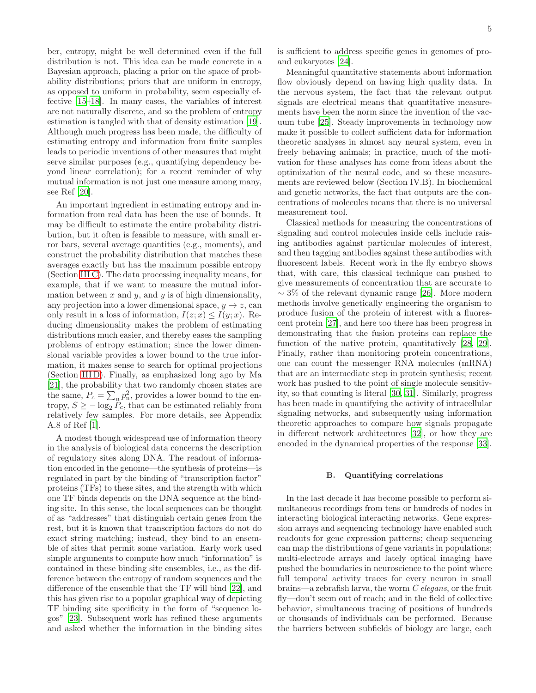ber, entropy, might be well determined even if the full distribution is not. This idea can be made concrete in a Bayesian approach, placing a prior on the space of probability distributions; priors that are uniform in entropy, as opposed to uniform in probability, seem especially effective [\[15](#page-15-13)[–18\]](#page-15-14). In many cases, the variables of interest are not naturally discrete, and so the problem of entropy estimation is tangled with that of density estimation [\[19\]](#page-15-15). Although much progress has been made, the difficulty of estimating entropy and information from finite samples leads to periodic inventions of other measures that might serve similar purposes (e.g., quantifying dependency beyond linear correlation); for a recent reminder of why mutual information is not just one measure among many, see Ref [\[20\]](#page-15-16).

An important ingredient in estimating entropy and information from real data has been the use of bounds. It may be difficult to estimate the entire probability distribution, but it often is feasible to measure, with small error bars, several average quantities (e.g., moments), and construct the probability distribution that matches these averages exactly but has the maximum possible entropy (Section [III C\)](#page-5-0). The data processing inequality means, for example, that if we want to measure the mutual information between x and y, and y is of high dimensionality, any projection into a lower dimensional space,  $y \to z$ , can only result in a loss of information,  $I(z; x) \leq I(y; x)$ . Reducing dimensionality makes the problem of estimating distributions much easier, and thereby eases the sampling problems of entropy estimation; since the lower dimensional variable provides a lower bound to the true information, it makes sense to search for optimal projections (Section [III D\)](#page-7-0). Finally, as emphasized long ago by Ma [\[21\]](#page-15-17), the probability that two randomly chosen states are the same,  $P_c = \sum_{n} p_n^2$ , provides a lower bound to the entropy,  $S \ge -\log_2 P_c$ , that can be estimated reliably from relatively few samples. For more details, see Appendix A.8 of Ref [\[1\]](#page-15-0).

A modest though widespread use of information theory in the analysis of biological data concerns the description of regulatory sites along DNA. The readout of information encoded in the genome—the synthesis of proteins—is regulated in part by the binding of "transcription factor" proteins (TFs) to these sites, and the strength with which one TF binds depends on the DNA sequence at the binding site. In this sense, the local sequences can be thought of as "addresses" that distinguish certain genes from the rest, but it is known that transcription factors do not do exact string matching; instead, they bind to an ensemble of sites that permit some variation. Early work used simple arguments to compute how much "information" is contained in these binding site ensembles, i.e., as the difference between the entropy of random sequences and the difference of the ensemble that the TF will bind [\[22\]](#page-15-18), and this has given rise to a popular graphical way of depicting TF binding site specificity in the form of "sequence logos" [\[23](#page-15-19)]. Subsequent work has refined these arguments and asked whether the information in the binding sites is sufficient to address specific genes in genomes of proand eukaryotes [\[24](#page-15-20)].

Meaningful quantitative statements about information flow obviously depend on having high quality data. In the nervous system, the fact that the relevant output signals are electrical means that quantitative measurements have been the norm since the invention of the vacuum tube [\[25\]](#page-15-21). Steady improvements in technology now make it possible to collect sufficient data for information theoretic analyses in almost any neural system, even in freely behaving animals; in practice, much of the motivation for these analyses has come from ideas about the optimization of the neural code, and so these measurements are reviewed below (Section IV.B). In biochemical and genetic networks, the fact that outputs are the concentrations of molecules means that there is no universal measurement tool.

Classical methods for measuring the concentrations of signaling and control molecules inside cells include raising antibodies against particular molecules of interest, and then tagging antibodies against these antibodies with fluorescent labels. Recent work in the fly embryo shows that, with care, this classical technique can pushed to give measurements of concentration that are accurate to  $\sim$  3% of the relevant dynamic range [\[26](#page-15-22)]. More modern methods involve genetically engineering the organism to produce fusion of the protein of interest with a fluorescent protein [\[27\]](#page-15-23), and here too there has been progress in demonstrating that the fusion proteins can replace the function of the native protein, quantitatively [\[28,](#page-15-24) [29\]](#page-15-25). Finally, rather than monitoring protein concentrations, one can count the messenger RNA molecules (mRNA) that are an intermediate step in protein synthesis; recent work has pushed to the point of single molecule sensitivity, so that counting is literal [\[30](#page-16-0), [31\]](#page-16-1). Similarly, progress has been made in quantifying the activity of intracellular signaling networks, and subsequently using information theoretic approaches to compare how signals propagate in different network architectures [\[32\]](#page-16-2), or how they are encoded in the dynamical properties of the response [\[33\]](#page-16-3).

#### B. Quantifying correlations

In the last decade it has become possible to perform simultaneous recordings from tens or hundreds of nodes in interacting biological interacting networks. Gene expression arrays and sequencing technology have enabled such readouts for gene expression patterns; cheap sequencing can map the distributions of gene variants in populations; multi-electrode arrays and lately optical imaging have pushed the boundaries in neuroscience to the point where full temporal activity traces for every neuron in small brains—a zebrafish larva, the worm C elegans, or the fruit fly—don't seem out of reach; and in the field of collective behavior, simultaneous tracing of positions of hundreds or thousands of individuals can be performed. Because the barriers between subfields of biology are large, each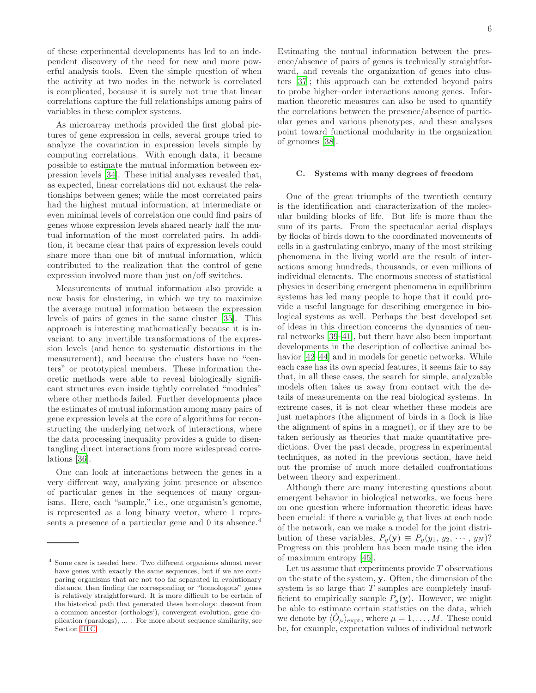of these experimental developments has led to an independent discovery of the need for new and more powerful analysis tools. Even the simple question of when the activity at two nodes in the network is correlated is complicated, because it is surely not true that linear correlations capture the full relationships among pairs of variables in these complex systems.

As microarray methods provided the first global pictures of gene expression in cells, several groups tried to analyze the covariation in expression levels simple by computing correlations. With enough data, it became possible to estimate the mutual information between expression levels [\[34\]](#page-16-4). These initial analyses revealed that, as expected, linear correlations did not exhaust the relationships between genes; while the most correlated pairs had the highest mutual information, at intermediate or even minimal levels of correlation one could find pairs of genes whose expression levels shared nearly half the mutual information of the most correlated pairs. In addition, it became clear that pairs of expression levels could share more than one bit of mutual information, which contributed to the realization that the control of gene expression involved more than just on/off switches.

Measurements of mutual information also provide a new basis for clustering, in which we try to maximize the average mutual information between the expression levels of pairs of genes in the same cluster [\[35\]](#page-16-5). This approach is interesting mathematically because it is invariant to any invertible transformations of the expression levels (and hence to systematic distortions in the measurement), and because the clusters have no "centers" or prototypical members. These information theoretic methods were able to reveal biologically significant structures even inside tightly correlated "modules" where other methods failed. Further developments place the estimates of mutual information among many pairs of gene expression levels at the core of algorithms for reconstructing the underlying network of interactions, where the data processing inequality provides a guide to disentangling direct interactions from more widespread correlations [\[36\]](#page-16-6).

One can look at interactions between the genes in a very different way, analyzing joint presence or absence of particular genes in the sequences of many organisms. Here, each "sample," i.e., one organism's genome, is represented as a long binary vector, where 1 represents a presence of a particular gene and  $\theta$  its absence.<sup>4</sup>

Estimating the mutual information between the presence/absence of pairs of genes is technically straightforward, and reveals the organization of genes into clusters [\[37\]](#page-16-7); this approach can be extended beyond pairs to probe higher–order interactions among genes. Information theoretic measures can also be used to quantify the correlations between the presence/absence of particular genes and various phenotypes, and these analyses point toward functional modularity in the organization of genomes [\[38\]](#page-16-8).

### <span id="page-5-0"></span>C. Systems with many degrees of freedom

One of the great triumphs of the twentieth century is the identification and characterization of the molecular building blocks of life. But life is more than the sum of its parts. From the spectacular aerial displays by flocks of birds down to the coordinated movements of cells in a gastrulating embryo, many of the most striking phenomena in the living world are the result of interactions among hundreds, thousands, or even millions of individual elements. The enormous success of statistical physics in describing emergent phenomena in equilibrium systems has led many people to hope that it could provide a useful language for describing emergence in biological systems as well. Perhaps the best developed set of ideas in this direction concerns the dynamics of neural networks [\[39](#page-16-9)[–41\]](#page-16-10), but there have also been important developments in the description of collective animal behavior  $[42-44]$  and in models for genetic networks. While each case has its own special features, it seems fair to say that, in all these cases, the search for simple, analyzable models often takes us away from contact with the details of measurements on the real biological systems. In extreme cases, it is not clear whether these models are just metaphors (the alignment of birds in a flock is like the alignment of spins in a magnet), or if they are to be taken seriously as theories that make quantitative predictions. Over the past decade, progress in experimental techniques, as noted in the previous section, have held out the promise of much more detailed confrontations between theory and experiment.

Although there are many interesting questions about emergent behavior in biological networks, we focus here on one question where information theoretic ideas have been crucial: if there a variable  $y_i$  that lives at each node of the network, can we make a model for the joint distribution of these variables,  $P_y(\mathbf{y}) \equiv P_y(y_1, y_2, \dots, y_N)$ ? Progress on this problem has been made using the idea of maximum entropy [\[45\]](#page-16-13).

Let us assume that experiments provide  $T$  observations on the state of the system, y. Often, the dimension of the system is so large that  $T$  samples are completely insufficient to empirically sample  $P_y(\mathbf{y})$ . However, we might be able to estimate certain statistics on the data, which we denote by  $\langle \hat{O}_\mu \rangle_{\text{expt}}$ , where  $\mu = 1, \dots, M$ . These could be, for example, expectation values of individual network

<sup>4</sup> Some care is needed here. Two different organisms almost never have genes with exactly the same sequences, but if we are comparing organisms that are not too far separated in evolutionary distance, then finding the corresponding or "homologous" genes is relatively straightforward. It is more difficult to be certain of the historical path that generated these homologs: descent from a common ancestor (orthologs'), convergent evolution, gene duplication (paralogs), ... . For more about sequence similarity, see Section [III C.](#page-5-0)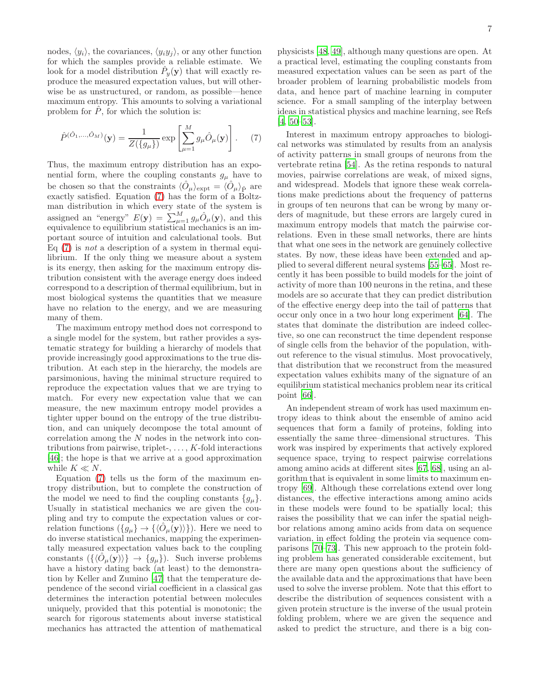nodes,  $\langle y_i \rangle$ , the covariances,  $\langle y_i y_j \rangle$ , or any other function for which the samples provide a reliable estimate. We look for a model distribution  $\hat{P}_y(\mathbf{y})$  that will exactly reproduce the measured expectation values, but will otherwise be as unstructured, or random, as possible—hence maximum entropy. This amounts to solving a variational problem for  $\hat{P}$ , for which the solution is:

<span id="page-6-0"></span>
$$
\hat{P}^{(\hat{O}_1,...,\hat{O}_M)}(\mathbf{y}) = \frac{1}{Z(\{g_\mu\})} \exp\left[\sum_{\mu=1}^M g_\mu \hat{O}_\mu(\mathbf{y})\right].
$$
 (7)

Thus, the maximum entropy distribution has an exponential form, where the coupling constants  $g_{\mu}$  have to be chosen so that the constraints  $\langle \hat{O}_\mu \rangle_{\text{expt}} = \langle \hat{O}_\mu \rangle_{\hat{P}}$  are exactly satisfied. Equation [\(7\)](#page-6-0) has the form of a Boltzman distribution in which every state of the system is assigned an "energy"  $E(\mathbf{y}) = \sum_{\mu=1}^{M} g_{\mu} \hat{O}_{\mu}(\mathbf{y}),$  and this equivalence to equilibrium statistical mechanics is an important source of intuition and calculational tools. But Eq  $(7)$  is *not* a description of a system in thermal equilibrium. If the only thing we measure about a system is its energy, then asking for the maximum entropy distribution consistent with the average energy does indeed correspond to a description of thermal equilibrium, but in most biological systems the quantities that we measure have no relation to the energy, and we are measuring many of them.

The maximum entropy method does not correspond to a single model for the system, but rather provides a systematic strategy for building a hierarchy of models that provide increasingly good approximations to the true distribution. At each step in the hierarchy, the models are parsimonious, having the minimal structure required to reproduce the expectation values that we are trying to match. For every new expectation value that we can measure, the new maximum entropy model provides a tighter upper bound on the entropy of the true distribution, and can uniquely decompose the total amount of correlation among the N nodes in the network into contributions from pairwise, triplet-,  $\dots$ ,  $K$ -fold interactions [\[46\]](#page-16-14); the hope is that we arrive at a good approximation while  $K \ll N$ .

Equation [\(7\)](#page-6-0) tells us the form of the maximum entropy distribution, but to complete the construction of the model we need to find the coupling constants  $\{g_{\mu}\}.$ Usually in statistical mechanics we are given the coupling and try to compute the expectation values or correlation functions  $({g_{\mu}} \rightarrow {\langle \hat{O}_{\mu}(\mathbf{y}) \rangle})$ . Here we need to do inverse statistical mechanics, mapping the experimentally measured expectation values back to the coupling constants  $({\{\langle \hat{O}_{\mu}(\mathbf{y}) \rangle\}} \rightarrow {g_{\mu}}).$  Such inverse problems have a history dating back (at least) to the demonstration by Keller and Zumino [\[47](#page-16-15)] that the temperature dependence of the second virial coefficient in a classical gas determines the interaction potential between molecules uniquely, provided that this potential is monotonic; the search for rigorous statements about inverse statistical mechanics has attracted the attention of mathematical

physicists [\[48](#page-16-16), [49](#page-16-17)], although many questions are open. At a practical level, estimating the coupling constants from measured expectation values can be seen as part of the broader problem of learning probabilistic models from data, and hence part of machine learning in computer science. For a small sampling of the interplay between ideas in statistical physics and machine learning, see Refs [\[4,](#page-15-3) [50](#page-16-18)[–53\]](#page-16-19).

Interest in maximum entropy approaches to biological networks was stimulated by results from an analysis of activity patterns in small groups of neurons from the vertebrate retina [\[54](#page-16-20)]. As the retina responds to natural movies, pairwise correlations are weak, of mixed signs, and widespread. Models that ignore these weak correlations make predictions about the frequency of patterns in groups of ten neurons that can be wrong by many orders of magnitude, but these errors are largely cured in maximum entropy models that match the pairwise correlations. Even in these small networks, there are hints that what one sees in the network are genuinely collective states. By now, these ideas have been extended and applied to several different neural systems [\[55](#page-16-21)[–65](#page-16-22)]. Most recently it has been possible to build models for the joint of activity of more than 100 neurons in the retina, and these models are so accurate that they can predict distribution of the effective energy deep into the tail of patterns that occur only once in a two hour long experiment [\[64](#page-16-23)]. The states that dominate the distribution are indeed collective, so one can reconstruct the time dependent response of single cells from the behavior of the population, without reference to the visual stimulus. Most provocatively, that distribution that we reconstruct from the measured expectation values exhibits many of the signature of an equilibrium statistical mechanics problem near its critical point [\[66\]](#page-16-24).

An independent stream of work has used maximum entropy ideas to think about the ensemble of amino acid sequences that form a family of proteins, folding into essentially the same three–dimensional structures. This work was inspired by experiments that actively explored sequence space, trying to respect pairwise correlations among amino acids at different sites [\[67,](#page-17-0) [68\]](#page-17-1), using an algorithm that is equivalent in some limits to maximum entropy [\[69\]](#page-17-2). Although these correlations extend over long distances, the effective interactions among amino acids in these models were found to be spatially local; this raises the possibility that we can infer the spatial neighbor relations among amino acids from data on sequence variation, in effect folding the protein via sequence comparisons [\[70](#page-17-3)[–73\]](#page-17-4). This new approach to the protein folding problem has generated considerable excitement, but there are many open questions about the sufficiency of the available data and the approximations that have been used to solve the inverse problem. Note that this effort to describe the distribution of sequences consistent with a given protein structure is the inverse of the usual protein folding problem, where we are given the sequence and asked to predict the structure, and there is a big con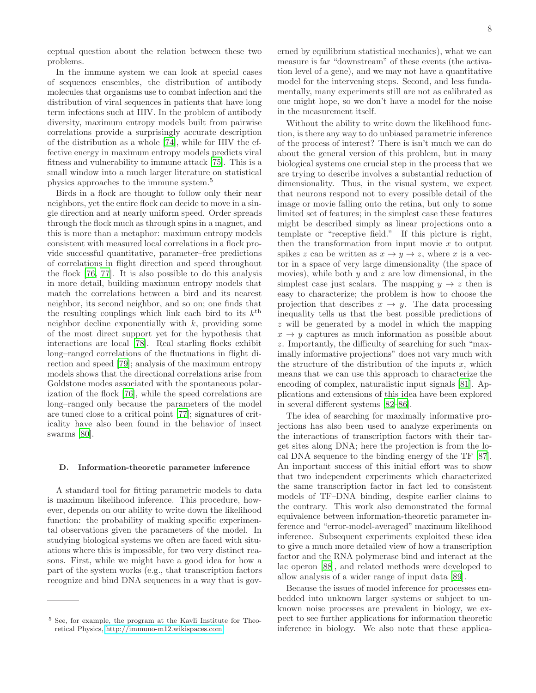ceptual question about the relation between these two problems.

In the immune system we can look at special cases of sequences ensembles, the distribution of antibody molecules that organisms use to combat infection and the distribution of viral sequences in patients that have long term infections such at HIV. In the problem of antibody diversity, maximum entropy models built from pairwise correlations provide a surprisingly accurate description of the distribution as a whole [\[74\]](#page-17-5), while for HIV the effective energy in maximum entropy models predicts viral fitness and vulnerability to immune attack [\[75\]](#page-17-6). This is a small window into a much larger literature on statistical physics approaches to the immune system.<sup>5</sup>

Birds in a flock are thought to follow only their near neighbors, yet the entire flock can decide to move in a single direction and at nearly uniform speed. Order spreads through the flock much as through spins in a magnet, and this is more than a metaphor: maximum entropy models consistent with measured local correlations in a flock provide successful quantitative, parameter–free predictions of correlations in flight direction and speed throughout the flock [\[76,](#page-17-7) [77](#page-17-8)]. It is also possible to do this analysis in more detail, building maximum entropy models that match the correlations between a bird and its nearest neighbor, its second neighbor, and so on; one finds that the resulting couplings which link each bird to its  $k^{\text{th}}$ neighbor decline exponentially with  $k$ , providing some of the most direct support yet for the hypothesis that interactions are local [\[78\]](#page-17-9). Real starling flocks exhibit long–ranged correlations of the fluctuations in flight direction and speed [\[79](#page-17-10)]; analysis of the maximum entropy models shows that the directional correlations arise from Goldstone modes associated with the spontaneous polarization of the flock [\[76\]](#page-17-7), while the speed correlations are long–ranged only because the parameters of the model are tuned close to a critical point [\[77\]](#page-17-8); signatures of criticality have also been found in the behavior of insect swarms [\[80\]](#page-17-11).

#### <span id="page-7-0"></span>D. Information-theoretic parameter inference

A standard tool for fitting parametric models to data is maximum likelihood inference. This procedure, however, depends on our ability to write down the likelihood function: the probability of making specific experimental observations given the parameters of the model. In studying biological systems we often are faced with situations where this is impossible, for two very distinct reasons. First, while we might have a good idea for how a part of the system works (e.g., that transcription factors recognize and bind DNA sequences in a way that is governed by equilibrium statistical mechanics), what we can measure is far "downstream" of these events (the activation level of a gene), and we may not have a quantitative model for the intervening steps. Second, and less fundamentally, many experiments still are not as calibrated as one might hope, so we don't have a model for the noise in the measurement itself.

Without the ability to write down the likelihood function, is there any way to do unbiased parametric inference of the process of interest? There is isn't much we can do about the general version of this problem, but in many biological systems one crucial step in the process that we are trying to describe involves a substantial reduction of dimensionality. Thus, in the visual system, we expect that neurons respond not to every possible detail of the image or movie falling onto the retina, but only to some limited set of features; in the simplest case these features might be described simply as linear projections onto a template or "receptive field." If this picture is right, then the transformation from input movie  $x$  to output spikes z can be written as  $x \to y \to z$ , where x is a vector in a space of very large dimensionality (the space of movies), while both  $y$  and  $z$  are low dimensional, in the simplest case just scalars. The mapping  $y \to z$  then is easy to characterize; the problem is how to choose the projection that describes  $x \to y$ . The data processing inequality tells us that the best possible predictions of z will be generated by a model in which the mapping  $x \rightarrow y$  captures as much information as possible about z. Importantly, the difficulty of searching for such "maximally informative projections" does not vary much with the structure of the distribution of the inputs  $x$ , which means that we can use this approach to characterize the encoding of complex, naturalistic input signals [\[81\]](#page-17-12). Applications and extensions of this idea have been explored in several different systems [\[82](#page-17-13)[–86](#page-17-14)].

The idea of searching for maximally informative projections has also been used to analyze experiments on the interactions of transcription factors with their target sites along DNA; here the projection is from the local DNA sequence to the binding energy of the TF [\[87\]](#page-17-15). An important success of this initial effort was to show that two independent experiments which characterized the same transcription factor in fact led to consistent models of TF–DNA binding, despite earlier claims to the contrary. This work also demonstrated the formal equivalence between information-theoretic parameter inference and "error-model-averaged" maximum likelihood inference. Subsequent experiments exploited these idea to give a much more detailed view of how a transcription factor and the RNA polymerase bind and interact at the lac operon [\[88](#page-17-16)], and related methods were developed to allow analysis of a wider range of input data [\[89\]](#page-17-17).

Because the issues of model inference for processes embedded into unknown larger systems or subject to unknown noise processes are prevalent in biology, we expect to see further applications for information theoretic inference in biology. We also note that these applica-

<sup>5</sup> See, for example, the program at the Kavli Institute for Theoretical Physics, [http://immuno-m12.wikispaces.com.](http://immuno-m12.wikispaces.com)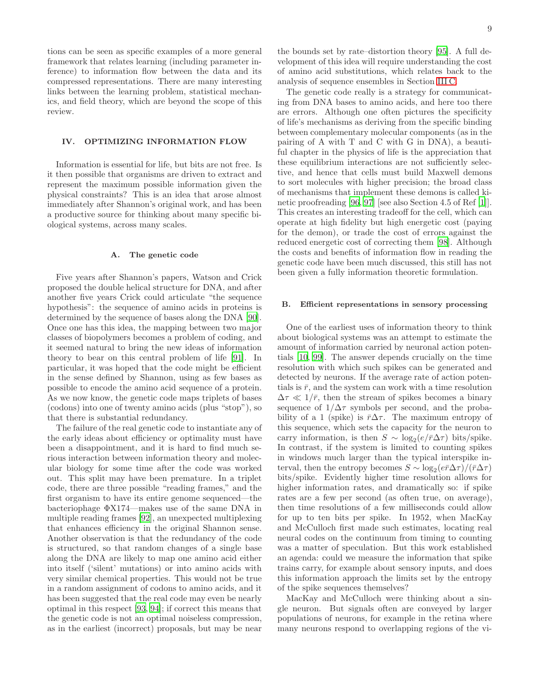tions can be seen as specific examples of a more general framework that relates learning (including parameter inference) to information flow between the data and its compressed representations. There are many interesting links between the learning problem, statistical mechanics, and field theory, which are beyond the scope of this review.

## <span id="page-8-0"></span>IV. OPTIMIZING INFORMATION FLOW

Information is essential for life, but bits are not free. Is it then possible that organisms are driven to extract and represent the maximum possible information given the physical constraints? This is an idea that arose almost immediately after Shannon's original work, and has been a productive source for thinking about many specific biological systems, across many scales.

## A. The genetic code

Five years after Shannon's papers, Watson and Crick proposed the double helical structure for DNA, and after another five years Crick could articulate "the sequence hypothesis": the sequence of amino acids in proteins is determined by the sequence of bases along the DNA [\[90\]](#page-17-18). Once one has this idea, the mapping between two major classes of biopolymers becomes a problem of coding, and it seemed natural to bring the new ideas of information theory to bear on this central problem of life [\[91](#page-17-19)]. In particular, it was hoped that the code might be efficient in the sense defined by Shannon, using as few bases as possible to encode the amino acid sequence of a protein. As we now know, the genetic code maps triplets of bases (codons) into one of twenty amino acids (plus "stop"), so that there is substantial redundancy.

The failure of the real genetic code to instantiate any of the early ideas about efficiency or optimality must have been a disappointment, and it is hard to find much serious interaction between information theory and molecular biology for some time after the code was worked out. This split may have been premature. In a triplet code, there are three possible "reading frames," and the first organism to have its entire genome sequenced—the bacteriophage ΦX174—makes use of the same DNA in multiple reading frames [\[92](#page-17-20)], an unexpected multiplexing that enhances efficiency in the original Shannon sense. Another observation is that the redundancy of the code is structured, so that random changes of a single base along the DNA are likely to map one amino acid either into itself ('silent' mutations) or into amino acids with very similar chemical properties. This would not be true in a random assignment of codons to amino acids, and it has been suggested that the real code may even be nearly optimal in this respect [\[93,](#page-17-21) [94\]](#page-17-22); if correct this means that the genetic code is not an optimal noiseless compression, as in the earliest (incorrect) proposals, but may be near

the bounds set by rate–distortion theory [\[95](#page-17-23)]. A full development of this idea will require understanding the cost of amino acid substitutions, which relates back to the analysis of sequence ensembles in Section [III C.](#page-5-0)

The genetic code really is a strategy for communicating from DNA bases to amino acids, and here too there are errors. Although one often pictures the specificity of life's mechanisms as deriving from the specific binding between complementary molecular components (as in the pairing of A with T and C with G in DNA), a beautiful chapter in the physics of life is the appreciation that these equilibrium interactions are not sufficiently selective, and hence that cells must build Maxwell demons to sort molecules with higher precision; the broad class of mechanisms that implement these demons is called kinetic proofreading [\[96,](#page-17-24) [97\]](#page-17-25) [see also Section 4.5 of Ref [\[1\]](#page-15-0)]. This creates an interesting tradeoff for the cell, which can operate at high fidelity but high energetic cost (paying for the demon), or trade the cost of errors against the reduced energetic cost of correcting them [\[98\]](#page-17-26). Although the costs and benefits of information flow in reading the genetic code have been much discussed, this still has not been given a fully information theoretic formulation.

### B. Efficient representations in sensory processing

One of the earliest uses of information theory to think about biological systems was an attempt to estimate the amount of information carried by neuronal action potentials [\[10,](#page-15-9) [99\]](#page-17-27). The answer depends crucially on the time resolution with which such spikes can be generated and detected by neurons. If the average rate of action potentials is  $\bar{r}$ , and the system can work with a time resolution  $\Delta \tau \ll 1/\bar{r}$ , then the stream of spikes becomes a binary sequence of  $1/\Delta \tau$  symbols per second, and the probability of a 1 (spike) is  $\bar{r}\Delta\tau$ . The maximum entropy of this sequence, which sets the capacity for the neuron to carry information, is then  $S \sim \log_2(e/\bar{r}\Delta\tau)$  bits/spike. In contrast, if the system is limited to counting spikes in windows much larger than the typical interspike interval, then the entropy becomes  $S \sim \log_2(e\bar{r}\Delta\tau)/(\bar{r}\Delta\tau)$ bits/spike. Evidently higher time resolution allows for higher information rates, and dramatically so: if spike rates are a few per second (as often true, on average), then time resolutions of a few milliseconds could allow for up to ten bits per spike. In 1952, when MacKay and McCulloch first made such estimates, locating real neural codes on the continuum from timing to counting was a matter of speculation. But this work established an agenda: could we measure the information that spike trains carry, for example about sensory inputs, and does this information approach the limits set by the entropy of the spike sequences themselves?

MacKay and McCulloch were thinking about a single neuron. But signals often are conveyed by larger populations of neurons, for example in the retina where many neurons respond to overlapping regions of the vi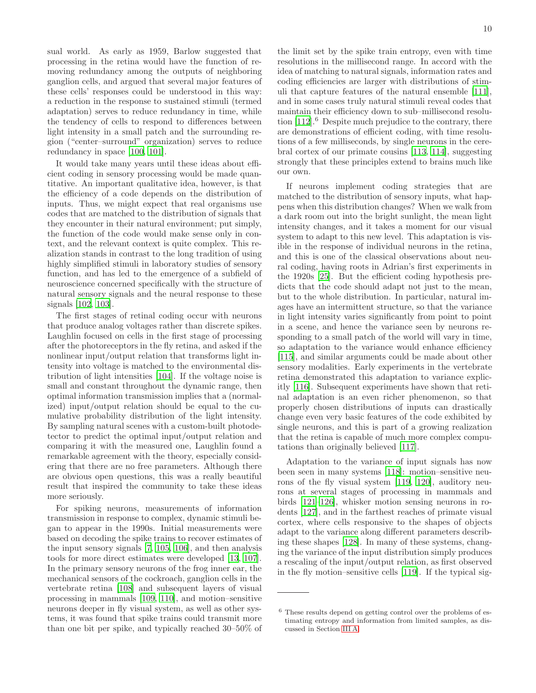sual world. As early as 1959, Barlow suggested that processing in the retina would have the function of removing redundancy among the outputs of neighboring ganglion cells, and argued that several major features of these cells' responses could be understood in this way: a reduction in the response to sustained stimuli (termed adaptation) serves to reduce redundancy in time, while the tendency of cells to respond to differences between light intensity in a small patch and the surrounding region ("center–surround" organization) serves to reduce redundancy in space [\[100,](#page-17-28) [101](#page-17-29)].

It would take many years until these ideas about efficient coding in sensory processing would be made quantitative. An important qualitative idea, however, is that the efficiency of a code depends on the distribution of inputs. Thus, we might expect that real organisms use codes that are matched to the distribution of signals that they encounter in their natural environment; put simply, the function of the code would make sense only in context, and the relevant context is quite complex. This realization stands in contrast to the long tradition of using highly simplified stimuli in laboratory studies of sensory function, and has led to the emergence of a subfield of neuroscience concerned specifically with the structure of natural sensory signals and the neural response to these signals [\[102,](#page-18-0) [103\]](#page-18-1).

The first stages of retinal coding occur with neurons that produce analog voltages rather than discrete spikes. Laughlin focused on cells in the first stage of processing after the photoreceptors in the fly retina, and asked if the nonlinear input/output relation that transforms light intensity into voltage is matched to the environmental distribution of light intensities [\[104\]](#page-18-2). If the voltage noise is small and constant throughout the dynamic range, then optimal information transmission implies that a (normalized) input/output relation should be equal to the cumulative probability distribution of the light intensity. By sampling natural scenes with a custom-built photodetector to predict the optimal input/output relation and comparing it with the measured one, Laughlin found a remarkable agreement with the theory, especially considering that there are no free parameters. Although there are obvious open questions, this was a really beautiful result that inspired the community to take these ideas more seriously.

For spiking neurons, measurements of information transmission in response to complex, dynamic stimuli began to appear in the 1990s. Initial measurements were based on decoding the spike trains to recover estimates of the input sensory signals [\[7,](#page-15-6) [105,](#page-18-3) [106\]](#page-18-4), and then analysis tools for more direct estimates were developed [\[13,](#page-15-26) [107\]](#page-18-5). In the primary sensory neurons of the frog inner ear, the mechanical sensors of the cockroach, ganglion cells in the vertebrate retina [\[108\]](#page-18-6) and subsequent layers of visual processing in mammals [\[109,](#page-18-7) [110](#page-18-8)], and motion–sensitive neurons deeper in fly visual system, as well as other systems, it was found that spike trains could transmit more than one bit per spike, and typically reached 30–50% of

the limit set by the spike train entropy, even with time resolutions in the millisecond range. In accord with the idea of matching to natural signals, information rates and coding efficiencies are larger with distributions of stimuli that capture features of the natural ensemble [\[111\]](#page-18-9), and in some cases truly natural stimuli reveal codes that maintain their efficiency down to sub–millisecond resolution  $[112]$ <sup>6</sup> Despite much prejudice to the contrary, there are demonstrations of efficient coding, with time resolutions of a few milliseconds, by single neurons in the cerebral cortex of our primate cousins [\[113,](#page-18-11) [114](#page-18-12)], suggesting strongly that these principles extend to brains much like our own.

If neurons implement coding strategies that are matched to the distribution of sensory inputs, what happens when this distribution changes? When we walk from a dark room out into the bright sunlight, the mean light intensity changes, and it takes a moment for our visual system to adapt to this new level. This adaptation is visible in the response of individual neurons in the retina, and this is one of the classical observations about neural coding, having roots in Adrian's first experiments in the 1920s [\[25](#page-15-21)]. But the efficient coding hypothesis predicts that the code should adapt not just to the mean, but to the whole distribution. In particular, natural images have an intermittent structure, so that the variance in light intensity varies significantly from point to point in a scene, and hence the variance seen by neurons responding to a small patch of the world will vary in time, so adaptation to the variance would enhance efficiency [\[115\]](#page-18-13), and similar arguments could be made about other sensory modalities. Early experiments in the vertebrate retina demonstrated this adaptation to variance explicitly [\[116\]](#page-18-14). Subsequent experiments have shown that retinal adaptation is an even richer phenomenon, so that properly chosen distributions of inputs can drastically change even very basic features of the code exhibited by single neurons, and this is part of a growing realization that the retina is capable of much more complex computations than originally believed [\[117\]](#page-18-15).

Adaptation to the variance of input signals has now been seen in many systems [\[118](#page-18-16)]: motion–sensitive neurons of the fly visual system [\[119,](#page-18-17) [120](#page-18-18)], auditory neurons at several stages of processing in mammals and birds [\[121](#page-18-19)[–126\]](#page-18-20), whisker motion sensing neurons in rodents [\[127\]](#page-18-21), and in the farthest reaches of primate visual cortex, where cells responsive to the shapes of objects adapt to the variance along different parameters describing these shapes [\[128](#page-18-22)]. In many of these systems, changing the variance of the input distribution simply produces a rescaling of the input/output relation, as first observed in the fly motion–sensitive cells [\[119\]](#page-18-17). If the typical sig-

<sup>6</sup> These results depend on getting control over the problems of estimating entropy and information from limited samples, as discussed in Section [III A.](#page-3-1)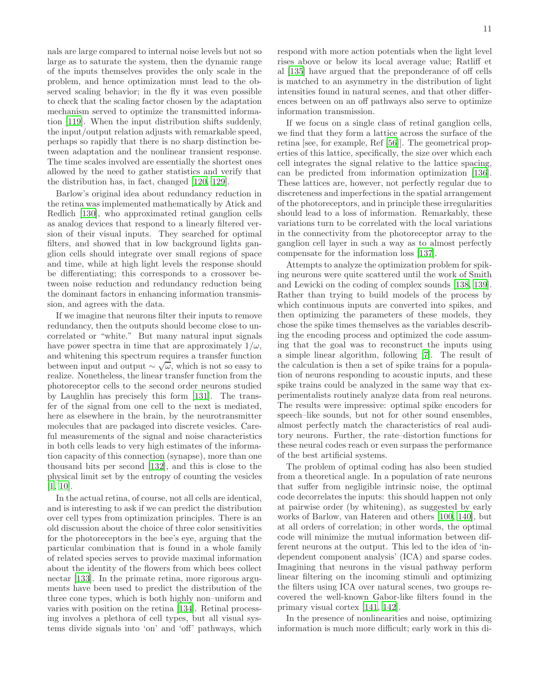nals are large compared to internal noise levels but not so large as to saturate the system, then the dynamic range of the inputs themselves provides the only scale in the problem, and hence optimization must lead to the observed scaling behavior; in the fly it was even possible to check that the scaling factor chosen by the adaptation mechanism served to optimize the transmitted information [\[119\]](#page-18-17). When the input distribution shifts suddenly, the input/output relation adjusts with remarkable speed, perhaps so rapidly that there is no sharp distinction between adaptation and the nonlinear transient response. The time scales involved are essentially the shortest ones allowed by the need to gather statistics and verify that the distribution has, in fact, changed [\[120](#page-18-18), [129](#page-18-23)].

Barlow's original idea about redundancy reduction in the retina was implemented mathematically by Atick and Redlich [\[130\]](#page-18-24), who approximated retinal ganglion cells as analog devices that respond to a linearly filtered version of their visual inputs. They searched for optimal filters, and showed that in low background lights ganglion cells should integrate over small regions of space and time, while at high light levels the response should be differentiating; this corresponds to a crossover between noise reduction and redundancy reduction being the dominant factors in enhancing information transmission, and agrees with the data.

If we imagine that neurons filter their inputs to remove redundancy, then the outputs should become close to uncorrelated or "white." But many natural input signals have power spectra in time that are approximately  $1/\omega$ , and whitening this spectrum requires a transfer function between input and output  $\sim \sqrt{\omega}$ , which is not so easy to realize. Nonetheless, the linear transfer function from the photoreceptor cells to the second order neurons studied by Laughlin has precisely this form [\[131](#page-18-25)]. The transfer of the signal from one cell to the next is mediated, here as elsewhere in the brain, by the neurotransmitter molecules that are packaged into discrete vesicles. Careful measurements of the signal and noise characteristics in both cells leads to very high estimates of the information capacity of this connection (synapse), more than one thousand bits per second [\[132\]](#page-18-26), and this is close to the physical limit set by the entropy of counting the vesicles [\[1,](#page-15-0) [10\]](#page-15-9).

In the actual retina, of course, not all cells are identical, and is interesting to ask if we can predict the distribution over cell types from optimization principles. There is an old discussion about the choice of three color sensitivities for the photoreceptors in the bee's eye, arguing that the particular combination that is found in a whole family of related species serves to provide maximal information about the identity of the flowers from which bees collect nectar [\[133\]](#page-18-27). In the primate retina, more rigorous arguments have been used to predict the distribution of the three cone types, which is both highly non–uniform and varies with position on the retina [\[134\]](#page-18-28). Retinal processing involves a plethora of cell types, but all visual systems divide signals into 'on' and 'off' pathways, which respond with more action potentials when the light level rises above or below its local average value; Ratliff et al [\[135\]](#page-18-29) have argued that the preponderance of off cells is matched to an asymmetry in the distribution of light intensities found in natural scenes, and that other differences between on an off pathways also serve to optimize information transmission.

If we focus on a single class of retinal ganglion cells, we find that they form a lattice across the surface of the retina [see, for example, Ref [\[56](#page-16-25)]]. The geometrical properties of this lattice, specifically, the size over which each cell integrates the signal relative to the lattice spacing, can be predicted from information optimization [\[136\]](#page-18-30). These lattices are, however, not perfectly regular due to discreteness and imperfections in the spatial arrangement of the photoreceptors, and in principle these irregularities should lead to a loss of information. Remarkably, these variations turn to be correlated with the local variations in the connectivity from the photoreceptor array to the ganglion cell layer in such a way as to almost perfectly compensate for the information loss [\[137](#page-18-31)].

Attempts to analyze the optimization problem for spiking neurons were quite scattered until the work of Smith and Lewicki on the coding of complex sounds [\[138,](#page-18-32) [139\]](#page-18-33). Rather than trying to build models of the process by which continuous inputs are converted into spikes, and then optimizing the parameters of these models, they chose the spike times themselves as the variables describing the encoding process and optimized the code assuming that the goal was to reconstruct the inputs using a simple linear algorithm, following [\[7](#page-15-6)]. The result of the calculation is then a set of spike trains for a population of neurons responding to acoustic inputs, and these spike trains could be analyzed in the same way that experimentalists routinely analyze data from real neurons. The results were impressive: optimal spike encoders for speech–like sounds, but not for other sound ensembles, almost perfectly match the characteristics of real auditory neurons. Further, the rate–distortion functions for these neural codes reach or even surpass the performance of the best artificial systems.

The problem of optimal coding has also been studied from a theoretical angle. In a population of rate neurons that suffer from negligible intrinsic noise, the optimal code decorrelates the inputs: this should happen not only at pairwise order (by whitening), as suggested by early works of Barlow, van Hateren and others [\[100](#page-17-28), [140](#page-18-34)], but at all orders of correlation; in other words, the optimal code will minimize the mutual information between different neurons at the output. This led to the idea of 'independent component analysis' (ICA) and sparse codes. Imagining that neurons in the visual pathway perform linear filtering on the incoming stimuli and optimizing the filters using ICA over natural scenes, two groups recovered the well-known Gabor-like filters found in the primary visual cortex [\[141,](#page-18-35) [142\]](#page-18-36).

In the presence of nonlinearities and noise, optimizing information is much more difficult; early work in this di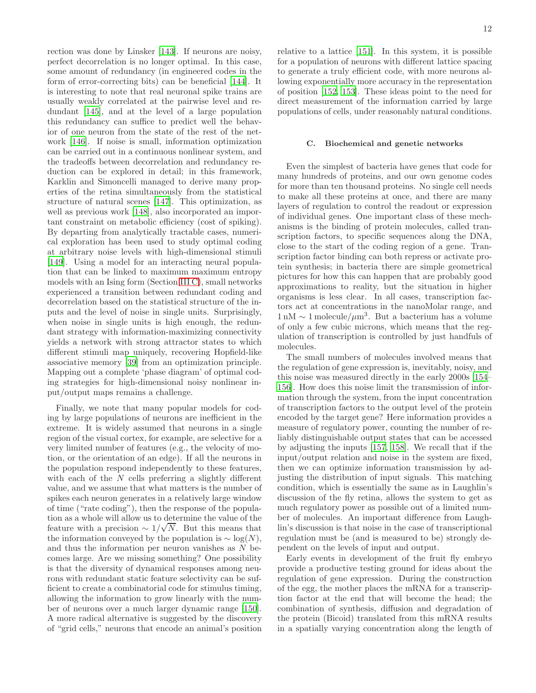rection was done by Linsker [\[143\]](#page-18-37). If neurons are noisy, perfect decorrelation is no longer optimal. In this case, some amount of redundancy (in engineered codes in the form of error-correcting bits) can be beneficial [\[144](#page-19-0)]. It is interesting to note that real neuronal spike trains are usually weakly correlated at the pairwise level and redundant [\[145](#page-19-1)], and at the level of a large population this redundancy can suffice to predict well the behavior of one neuron from the state of the rest of the network [\[146](#page-19-2)]. If noise is small, information optimization can be carried out in a continuous nonlinear system, and the tradeoffs between decorrelation and redundancy reduction can be explored in detail; in this framework, Karklin and Simoncelli managed to derive many properties of the retina simultaneously from the statistical structure of natural scenes [\[147](#page-19-3)]. This optimization, as well as previous work [\[148\]](#page-19-4), also incorporated an important constraint on metabolic efficiency (cost of spiking). By departing from analytically tractable cases, numerical exploration has been used to study optimal coding at arbitrary noise levels with high-dimensional stimuli [\[149\]](#page-19-5). Using a model for an interacting neural population that can be linked to maximum maximum entropy models with an Ising form (Section [III C\)](#page-5-0), small networks experienced a transition between redundant coding and decorrelation based on the statistical structure of the inputs and the level of noise in single units. Surprisingly, when noise in single units is high enough, the redundant strategy with information-maximizing connectivity yields a network with strong attractor states to which different stimuli map uniquely, recovering Hopfield-like associative memory [\[39\]](#page-16-9) from an optimization principle. Mapping out a complete 'phase diagram' of optimal coding strategies for high-dimensional noisy nonlinear input/output maps remains a challenge.

Finally, we note that many popular models for coding by large populations of neurons are inefficient in the extreme. It is widely assumed that neurons in a single region of the visual cortex, for example, are selective for a very limited number of features (e.g., the velocity of motion, or the orientation of an edge). If all the neurons in the population respond independently to these features, with each of the  $N$  cells preferring a slightly different value, and we assume that what matters is the number of spikes each neuron generates in a relatively large window of time ("rate coding"), then the response of the population as a whole will allow us to determine the value of the feature with a precision  $\sim 1/\sqrt{N}$ . But this means that the information conveyed by the population is  $\sim$  log(N), and thus the information per neuron vanishes as  $N$  becomes large. Are we missing something? One possibility is that the diversity of dynamical responses among neurons with redundant static feature selectivity can be sufficient to create a combinatorial code for stimulus timing, allowing the information to grow linearly with the number of neurons over a much larger dynamic range [\[150\]](#page-19-6). A more radical alternative is suggested by the discovery of "grid cells," neurons that encode an animal's position relative to a lattice [\[151](#page-19-7)]. In this system, it is possible for a population of neurons with different lattice spacing to generate a truly efficient code, with more neurons allowing exponentially more accuracy in the representation of position [\[152,](#page-19-8) [153\]](#page-19-9). These ideas point to the need for direct measurement of the information carried by large populations of cells, under reasonably natural conditions.

### C. Biochemical and genetic networks

Even the simplest of bacteria have genes that code for many hundreds of proteins, and our own genome codes for more than ten thousand proteins. No single cell needs to make all these proteins at once, and there are many layers of regulation to control the readout or expression of individual genes. One important class of these mechanisms is the binding of protein molecules, called transcription factors, to specific sequences along the DNA, close to the start of the coding region of a gene. Transcription factor binding can both repress or activate protein synthesis; in bacteria there are simple geometrical pictures for how this can happen that are probably good approximations to reality, but the situation in higher organisms is less clear. In all cases, transcription factors act at concentrations in the nanoMolar range, and  $1 \text{ nM} \sim 1 \text{ molecule}/\mu\text{m}^3$ . But a bacterium has a volume of only a few cubic microns, which means that the regulation of transcription is controlled by just handfuls of molecules.

The small numbers of molecules involved means that the regulation of gene expression is, inevitably, noisy, and this noise was measured directly in the early 2000s [\[154](#page-19-10)– [156\]](#page-19-11). How does this noise limit the transmission of information through the system, from the input concentration of transcription factors to the output level of the protein encoded by the target gene? Here information provides a measure of regulatory power, counting the number of reliably distinguishable output states that can be accessed by adjusting the inputs [\[157,](#page-19-12) [158\]](#page-19-13). We recall that if the input/output relation and noise in the system are fixed, then we can optimize information transmission by adjusting the distribution of input signals. This matching condition, which is essentially the same as in Laughlin's discussion of the fly retina, allows the system to get as much regulatory power as possible out of a limited number of molecules. An important difference from Laughlin's discussion is that noise in the case of transcriptional regulation must be (and is measured to be) strongly dependent on the levels of input and output.

Early events in development of the fruit fly embryo provide a productive testing ground for ideas about the regulation of gene expression. During the construction of the egg, the mother places the mRNA for a transcription factor at the end that will become the head; the combination of synthesis, diffusion and degradation of the protein (Bicoid) translated from this mRNA results in a spatially varying concentration along the length of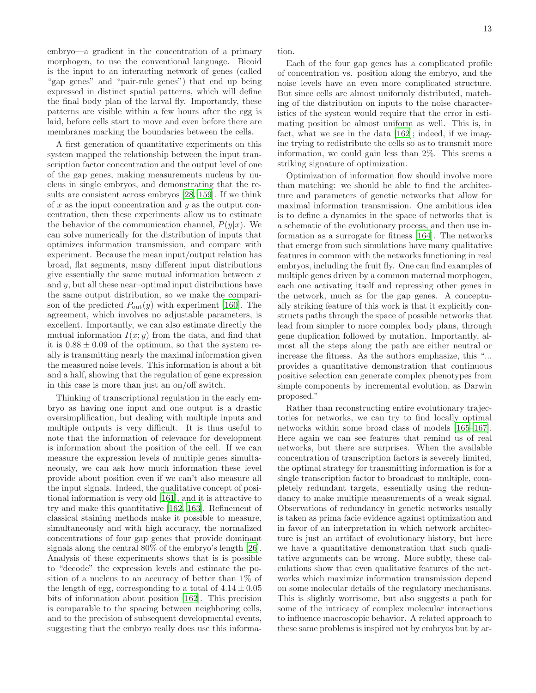embryo—a gradient in the concentration of a primary morphogen, to use the conventional language. Bicoid is the input to an interacting network of genes (called "gap genes" and "pair-rule genes") that end up being expressed in distinct spatial patterns, which will define the final body plan of the larval fly. Importantly, these patterns are visible within a few hours after the egg is laid, before cells start to move and even before there are membranes marking the boundaries between the cells.

A first generation of quantitative experiments on this system mapped the relationship between the input transcription factor concentration and the output level of one of the gap genes, making measurements nucleus by nucleus in single embryos, and demonstrating that the results are consistent across embryos [\[28,](#page-15-24) [159\]](#page-19-14). If we think of  $x$  as the input concentration and  $y$  as the output concentration, then these experiments allow us to estimate the behavior of the communication channel,  $P(y|x)$ . We can solve numerically for the distribution of inputs that optimizes information transmission, and compare with experiment. Because the mean input/output relation has broad, flat segments, many different input distributions give essentially the same mutual information between  $x$ and  $y$ , but all these near-optimal input distributions have the same output distribution, so we make the comparison of the predicted  $P_{\text{out}}(y)$  with experiment [\[160\]](#page-19-15). The agreement, which involves no adjustable parameters, is excellent. Importantly, we can also estimate directly the mutual information  $I(x; y)$  from the data, and find that it is  $0.88 \pm 0.09$  of the optimum, so that the system really is transmitting nearly the maximal information given the measured noise levels. This information is about a bit and a half, showing that the regulation of gene expression in this case is more than just an on/off switch.

Thinking of transcriptional regulation in the early embryo as having one input and one output is a drastic oversimplification, but dealing with multiple inputs and multiple outputs is very difficult. It is thus useful to note that the information of relevance for development is information about the position of the cell. If we can measure the expression levels of multiple genes simultaneously, we can ask how much information these level provide about position even if we can't also measure all the input signals. Indeed, the qualitative concept of positional information is very old [\[161\]](#page-19-16), and it is attractive to try and make this quantitative [\[162,](#page-19-17) [163\]](#page-19-18). Refinement of classical staining methods make it possible to measure, simultaneously and with high accuracy, the normalized concentrations of four gap genes that provide dominant signals along the central 80% of the embryo's length [\[26\]](#page-15-22). Analysis of these experiments shows that is is possible to "decode" the expression levels and estimate the position of a nucleus to an accuracy of better than 1% of the length of egg, corresponding to a total of  $4.14 \pm 0.05$ bits of information about position [\[162\]](#page-19-17). This precision is comparable to the spacing between neighboring cells, and to the precision of subsequent developmental events, suggesting that the embryo really does use this information.

Each of the four gap genes has a complicated profile of concentration vs. position along the embryo, and the noise levels have an even more complicated structure. But since cells are almost uniformly distributed, matching of the distribution on inputs to the noise characteristics of the system would require that the error in estimating position be almost uniform as well. This is, in fact, what we see in the data [\[162](#page-19-17)]; indeed, if we imagine trying to redistribute the cells so as to transmit more information, we could gain less than 2%. This seems a striking signature of optimization.

Optimization of information flow should involve more than matching: we should be able to find the architecture and parameters of genetic networks that allow for maximal information transmission. One ambitious idea is to define a dynamics in the space of networks that is a schematic of the evolutionary process, and then use information as a surrogate for fitness [\[164](#page-19-19)]. The networks that emerge from such simulations have many qualitative features in common with the networks functioning in real embryos, including the fruit fly. One can find examples of multiple genes driven by a common maternal morphogen, each one activating itself and repressing other genes in the network, much as for the gap genes. A conceptually striking feature of this work is that it explicitly constructs paths through the space of possible networks that lead from simpler to more complex body plans, through gene duplication followed by mutation. Importantly, almost all the steps along the path are either neutral or increase the fitness. As the authors emphasize, this "... provides a quantitative demonstration that continuous positive selection can generate complex phenotypes from simple components by incremental evolution, as Darwin proposed."

Rather than reconstructing entire evolutionary trajectories for networks, we can try to find locally optimal networks within some broad class of models [\[165](#page-19-20)[–167\]](#page-19-21). Here again we can see features that remind us of real networks, but there are surprises. When the available concentration of transcription factors is severely limited, the optimal strategy for transmitting information is for a single transcription factor to broadcast to multiple, completely redundant targets, essentially using the redundancy to make multiple measurements of a weak signal. Observations of redundancy in genetic networks usually is taken as prima facie evidence against optimization and in favor of an interpretation in which network architecture is just an artifact of evolutionary history, but here we have a quantitative demonstration that such qualitative arguments can be wrong. More subtly, these calculations show that even qualitative features of the networks which maximize information transmission depend on some molecular details of the regulatory mechanisms. This is slightly worrisome, but also suggests a path for some of the intricacy of complex molecular interactions to influence macroscopic behavior. A related approach to these same problems is inspired not by embryos but by ar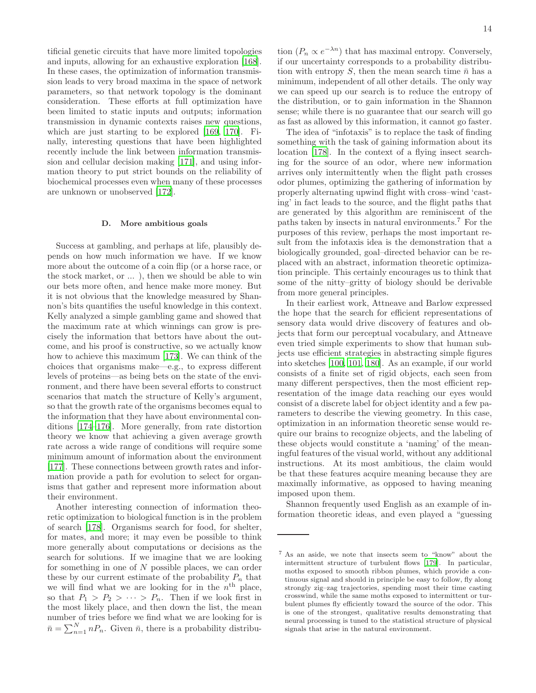tificial genetic circuits that have more limited topologies and inputs, allowing for an exhaustive exploration [\[168\]](#page-19-22). In these cases, the optimization of information transmission leads to very broad maxima in the space of network parameters, so that network topology is the dominant consideration. These efforts at full optimization have been limited to static inputs and outputs; information transmission in dynamic contexts raises new questions, which are just starting to be explored [\[169,](#page-19-23) [170](#page-19-24)]. Finally, interesting questions that have been highlighted recently include the link between information transmission and cellular decision making [\[171\]](#page-19-25), and using information theory to put strict bounds on the reliability of biochemical processes even when many of these processes are unknown or unobserved [\[172](#page-19-26)].

#### D. More ambitious goals

Success at gambling, and perhaps at life, plausibly depends on how much information we have. If we know more about the outcome of a coin flip (or a horse race, or the stock market, or ... ), then we should be able to win our bets more often, and hence make more money. But it is not obvious that the knowledge measured by Shannon's bits quantifies the useful knowledge in this context. Kelly analyzed a simple gambling game and showed that the maximum rate at which winnings can grow is precisely the information that bettors have about the outcome, and his proof is constructive, so we actually know how to achieve this maximum [\[173\]](#page-19-27). We can think of the choices that organisms make—e.g., to express different levels of proteins—as being bets on the state of the environment, and there have been several efforts to construct scenarios that match the structure of Kelly's argument, so that the growth rate of the organisms becomes equal to the information that they have about environmental conditions [\[174–](#page-19-28)[176\]](#page-19-29). More generally, from rate distortion theory we know that achieving a given average growth rate across a wide range of conditions will require some minimum amount of information about the environment [\[177\]](#page-19-30). These connections between growth rates and information provide a path for evolution to select for organisms that gather and represent more information about their environment.

Another interesting connection of information theoretic optimization to biological function is in the problem of search [\[178](#page-19-31)]. Organisms search for food, for shelter, for mates, and more; it may even be possible to think more generally about computations or decisions as the search for solutions. If we imagine that we are looking for something in one of  $N$  possible places, we can order these by our current estimate of the probability  $P_n$  that we will find what we are looking for in the  $n<sup>th</sup>$  place, so that  $P_1 > P_2 > \cdots > P_n$ . Then if we look first in the most likely place, and then down the list, the mean number of tries before we find what we are looking for is  $\bar{n} = \sum_{n=1}^{N} n_n$ . Given  $\bar{n}$ , there is a probability distribu-

tion  $(P_n \propto e^{-\lambda n})$  that has maximal entropy. Conversely, if our uncertainty corresponds to a probability distribution with entropy S, then the mean search time  $\bar{n}$  has a minimum, independent of all other details. The only way we can speed up our search is to reduce the entropy of the distribution, or to gain information in the Shannon sense; while there is no guarantee that our search will go as fast as allowed by this information, it cannot go faster.

The idea of "infotaxis" is to replace the task of finding something with the task of gaining information about its location [\[178\]](#page-19-31). In the context of a flying insect searching for the source of an odor, where new information arrives only intermittently when the flight path crosses odor plumes, optimizing the gathering of information by properly alternating upwind flight with cross–wind 'casting' in fact leads to the source, and the flight paths that are generated by this algorithm are reminiscent of the paths taken by insects in natural environments.<sup>7</sup> For the purposes of this review, perhaps the most important result from the infotaxis idea is the demonstration that a biologically grounded, goal–directed behavior can be replaced with an abstract, information theoretic optimization principle. This certainly encourages us to think that some of the nitty–gritty of biology should be derivable from more general principles.

In their earliest work, Attneave and Barlow expressed the hope that the search for efficient representations of sensory data would drive discovery of features and objects that form our perceptual vocabulary, and Attneave even tried simple experiments to show that human subjects use efficient strategies in abstracting simple figures into sketches [\[100,](#page-17-28) [101,](#page-17-29) [180\]](#page-19-32). As an example, if our world consists of a finite set of rigid objects, each seen from many different perspectives, then the most efficient representation of the image data reaching our eyes would consist of a discrete label for object identity and a few parameters to describe the viewing geometry. In this case, optimization in an information theoretic sense would require our brains to recognize objects, and the labeling of these objects would constitute a 'naming' of the meaningful features of the visual world, without any additional instructions. At its most ambitious, the claim would be that these features acquire meaning because they are maximally informative, as opposed to having meaning imposed upon them.

Shannon frequently used English as an example of information theoretic ideas, and even played a "guessing

<sup>7</sup> As an aside, we note that insects seem to "know" about the intermittent structure of turbulent flows [\[179](#page-19-33)]. In particular, moths exposed to smooth ribbon plumes, which provide a continuous signal and should in principle be easy to follow, fly along strongly zig–zag trajectories, spending most their time casting crosswind, while the same moths exposed to intermittent or turbulent plumes fly efficiently toward the source of the odor. This is one of the strongest, qualitative results demonstrating that neural processing is tuned to the statistical structure of physical signals that arise in the natural environment.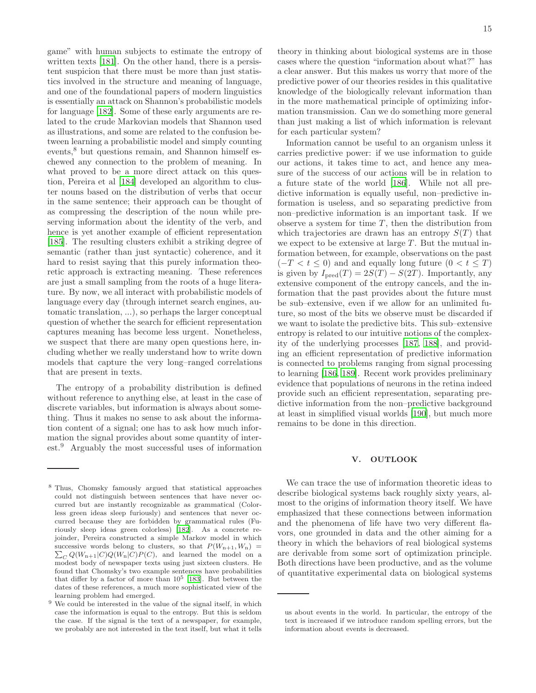game" with human subjects to estimate the entropy of written texts [\[181\]](#page-19-34). On the other hand, there is a persistent suspicion that there must be more than just statistics involved in the structure and meaning of language, and one of the foundational papers of modern linguistics is essentially an attack on Shannon's probabilistic models for language [\[182\]](#page-19-35). Some of these early arguments are related to the crude Markovian models that Shannon used as illustrations, and some are related to the confusion between learning a probabilistic model and simply counting events,<sup>8</sup> but questions remain, and Shannon himself eschewed any connection to the problem of meaning. In what proved to be a more direct attack on this question, Pereira et al [\[184\]](#page-19-36) developed an algorithm to cluster nouns based on the distribution of verbs that occur in the same sentence; their approach can be thought of as compressing the description of the noun while preserving information about the identity of the verb, and hence is yet another example of efficient representation [\[185\]](#page-19-37). The resulting clusters exhibit a striking degree of semantic (rather than just syntactic) coherence, and it hard to resist saying that this purely information theoretic approach is extracting meaning. These references are just a small sampling from the roots of a huge literature. By now, we all interact with probabilistic models of language every day (through internet search engines, automatic translation, ...), so perhaps the larger conceptual question of whether the search for efficient representation captures meaning has become less urgent. Nonetheless, we suspect that there are many open questions here, including whether we really understand how to write down models that capture the very long–ranged correlations that are present in texts.

The entropy of a probability distribution is defined without reference to anything else, at least in the case of discrete variables, but information is always about something. Thus it makes no sense to ask about the information content of a signal; one has to ask how much information the signal provides about some quantity of interest.<sup>9</sup> Arguably the most successful uses of information

<sup>8</sup> Thus, Chomsky famously argued that statistical approaches could not distinguish between sentences that have never occurred but are instantly recognizable as grammatical (Colorless green ideas sleep furiously) and sentences that never occurred because they are forbidden by grammatical rules (Furiously sleep ideas green colorless) [\[182](#page-19-35)]. As a concrete rejoinder, Pereira constructed a simple Markov model in which successive words belong to clusters, so that  $P(W_{n+1}, W_n) =$  $\sum_{C} Q(W_{n+1}|C) Q(W_{n}|C) P(C)$ , and learned the model on a modest body of newspaper texts using just sixteen clusters. He found that Chomsky's two example sentences have probabilities that differ by a factor of more than  $10^5$  [\[183](#page-19-38)]. But between the dates of these references, a much more sophisticated view of the learning problem had emerged.

<sup>9</sup> We could be interested in the value of the signal itself, in which case the information is equal to the entropy. But this is seldom the case. If the signal is the text of a newspaper, for example, we probably are not interested in the text itself, but what it tells

theory in thinking about biological systems are in those cases where the question "information about what?" has a clear answer. But this makes us worry that more of the predictive power of our theories resides in this qualitative knowledge of the biologically relevant information than in the more mathematical principle of optimizing information transmission. Can we do something more general than just making a list of which information is relevant for each particular system?

Information cannot be useful to an organism unless it carries predictive power: if we use information to guide our actions, it takes time to act, and hence any measure of the success of our actions will be in relation to a future state of the world [\[186\]](#page-20-0). While not all predictive information is equally useful, non–predictive information is useless, and so separating predictive from non–predictive information is an important task. If we observe a system for time  $T$ , then the distribution from which trajectories are drawn has an entropy  $S(T)$  that we expect to be extensive at large  $T$ . But the mutual information between, for example, observations on the past  $(-T < t \leq 0)$  and and equally long future  $(0 < t \leq T)$ is given by  $I_{\text{pred}}(T) = 2S(T) - S(2T)$ . Importantly, any extensive component of the entropy cancels, and the information that the past provides about the future must be sub–extensive, even if we allow for an unlimited future, so most of the bits we observe must be discarded if we want to isolate the predictive bits. This sub–extensive entropy is related to our intuitive notions of the complexity of the underlying processes [\[187,](#page-20-1) [188\]](#page-20-2), and providing an efficient representation of predictive information is connected to problems ranging from signal processing to learning [\[186,](#page-20-0) [189\]](#page-20-3). Recent work provides preliminary evidence that populations of neurons in the retina indeed provide such an efficient representation, separating predictive information from the non–predictive background at least in simplified visual worlds [\[190\]](#page-20-4), but much more remains to be done in this direction.

### V. OUTLOOK

We can trace the use of information theoretic ideas to describe biological systems back roughly sixty years, almost to the origins of information theory itself. We have emphasized that these connections between information and the phenomena of life have two very different flavors, one grounded in data and the other aiming for a theory in which the behaviors of real biological systems are derivable from some sort of optimization principle. Both directions have been productive, and as the volume of quantitative experimental data on biological systems

us about events in the world. In particular, the entropy of the text is increased if we introduce random spelling errors, but the information about events is decreased.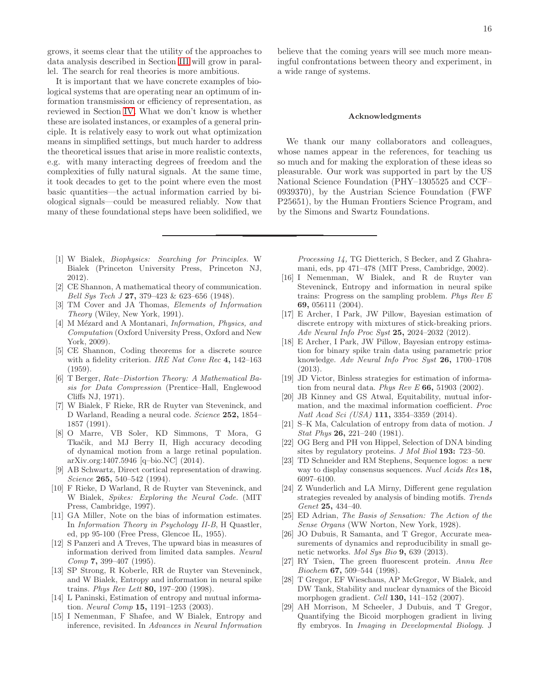grows, it seems clear that the utility of the approaches to data analysis described in Section [III](#page-3-0) will grow in parallel. The search for real theories is more ambitious.

It is important that we have concrete examples of biological systems that are operating near an optimum of information transmission or efficiency of representation, as reviewed in Section [IV.](#page-8-0) What we don't know is whether these are isolated instances, or examples of a general principle. It is relatively easy to work out what optimization means in simplified settings, but much harder to address the theoretical issues that arise in more realistic contexts, e.g. with many interacting degrees of freedom and the complexities of fully natural signals. At the same time, it took decades to get to the point where even the most basic quantities—the actual information carried by biological signals—could be measured reliably. Now that many of these foundational steps have been solidified, we

- <span id="page-15-0"></span>[1] W Bialek, *Biophysics: Searching for Principles.* W Bialek (Princeton University Press, Princeton NJ, 2012).
- <span id="page-15-1"></span>[2] CE Shannon, A mathematical theory of communication. *Bell Sys Tech J* 27, 379–423 & 623–656 (1948).
- <span id="page-15-2"></span>[3] TM Cover and JA Thomas, *Elements of Information Theory* (Wiley, New York, 1991).
- <span id="page-15-3"></span>[4] M Mézard and A Montanari, *Information, Physics, and Computation* (Oxford University Press, Oxford and New York, 2009).
- <span id="page-15-5"></span>[5] CE Shannon, Coding theorems for a discrete source with a fidelity criterion. *IRE Nat Conv Rec* 4, 142–163 (1959).
- <span id="page-15-4"></span>[6] T Berger, *Rate–Distortion Theory: A Mathematical Basis for Data Compression* (Prentice–Hall, Englewood Cliffs NJ, 1971).
- <span id="page-15-6"></span>[7] W Bialek, F Rieke, RR de Ruyter van Steveninck, and D Warland, Reading a neural code. *Science* 252, 1854– 1857 (1991).
- <span id="page-15-7"></span>[8] O Marre, VB Soler, KD Simmons, T Mora, G Tkačik, and MJ Berry II, High accuracy decoding of dynamical motion from a large retinal population. arXiv.org:1407.5946 [q–bio.NC] (2014).
- <span id="page-15-8"></span>[9] AB Schwartz, Direct cortical representation of drawing. *Science* 265, 540–542 (1994).
- <span id="page-15-9"></span>[10] F Rieke, D Warland, R de Ruyter van Steveninck, and W Bialek, *Spikes: Exploring the Neural Code.* (MIT Press, Cambridge, 1997).
- <span id="page-15-10"></span>[11] GA Miller, Note on the bias of information estimates. In *Information Theory in Psychology II-B*, H Quastler, ed, pp 95-100 (Free Press, Glencoe IL, 1955).
- <span id="page-15-11"></span>[12] S Panzeri and A Treves, The upward bias in measures of information derived from limited data samples. *Neural Comp* 7, 399–407 (1995).
- <span id="page-15-26"></span>[13] SP Strong, R Koberle, RR de Ruyter van Steveninck, and W Bialek, Entropy and information in neural spike trains. *Phys Rev Lett* 80, 197–200 (1998).
- <span id="page-15-12"></span>[14] L Paninski, Estimation of entropy and mutual information. *Neural Comp* 15, 1191–1253 (2003).
- <span id="page-15-13"></span>[15] I Nemenman, F Shafee, and W Bialek, Entropy and inference, revisited. In *Advances in Neural Information*

believe that the coming years will see much more meaningful confrontations between theory and experiment, in a wide range of systems.

### Acknowledgments

We thank our many collaborators and colleagues, whose names appear in the references, for teaching us so much and for making the exploration of these ideas so pleasurable. Our work was supported in part by the US National Science Foundation (PHY–1305525 and CCF– 0939370), by the Austrian Science Foundation (FWF P25651), by the Human Frontiers Science Program, and by the Simons and Swartz Foundations.

*Processing 14,* TG Dietterich, S Becker, and Z Ghahramani, eds, pp 471–478 (MIT Press, Cambridge, 2002).

- [16] I Nemenman, W Bialek, and R de Ruyter van Steveninck, Entropy and information in neural spike trains: Progress on the sampling problem. *Phys Rev E* 69, 056111 (2004).
- [17] E Archer, I Park, JW Pillow, Bayesian estimation of discrete entropy with mixtures of stick-breaking priors. *Adv Neural Info Proc Syst* 25, 2024–2032 (2012).
- <span id="page-15-14"></span>[18] E Archer, I Park, JW Pillow, Bayesian entropy estimation for binary spike train data using parametric prior knowledge. *Adv Neural Info Proc Syst* 26, 1700–1708 (2013).
- <span id="page-15-15"></span>[19] JD Victor, Binless strategies for estimation of information from neural data. *Phys Rev E* 66, 51903 (2002).
- <span id="page-15-16"></span>[20] JB Kinney and GS Atwal, Equitability, mutual information, and the maximal information coefficient. *Proc Natl Acad Sci (USA)* 111, 3354–3359 (2014).
- <span id="page-15-17"></span>[21] S–K Ma, Calculation of entropy from data of motion. *J Stat Phys* 26, 221–240 (1981).
- <span id="page-15-18"></span>[22] OG Berg and PH von Hippel, Selection of DNA binding sites by regulatory proteins. *J Mol Biol* 193: 723–50.
- <span id="page-15-19"></span>[23] TD Schneider and RM Stephens, Sequence logos: a new way to display consensus sequences. *Nucl Acids Res* 18, 6097–6100.
- <span id="page-15-20"></span>[24] Z Wunderlich and LA Mirny, Different gene regulation strategies revealed by analysis of binding motifs. *Trends Genet* 25, 434–40.
- <span id="page-15-21"></span>[25] ED Adrian, *The Basis of Sensation: The Action of the Sense Organs* (WW Norton, New York, 1928).
- <span id="page-15-22"></span>[26] JO Dubuis, R Samanta, and T Gregor, Accurate measurements of dynamics and reproducibility in small genetic networks. *Mol Sys Bio* 9, 639 (2013).
- <span id="page-15-23"></span>[27] RY Tsien, The green fluorescent protein. *Annu Rev Biochem* 67, 509–544 (1998).
- <span id="page-15-24"></span>[28] T Gregor, EF Wieschaus, AP McGregor, W Bialek, and DW Tank, Stability and nuclear dynamics of the Bicoid morphogen gradient. *Cell* 130, 141–152 (2007).
- <span id="page-15-25"></span>[29] AH Morrison, M Scheeler, J Dubuis, and T Gregor, Quantifying the Bicoid morphogen gradient in living fly embryos. In *Imaging in Developmental Biology*. J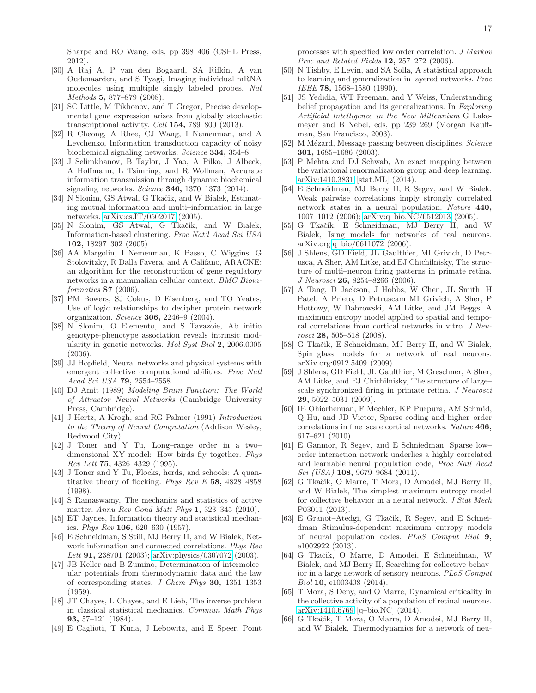Sharpe and RO Wang, eds, pp 398–406 (CSHL Press, 2012).

- <span id="page-16-0"></span>[30] A Raj A, P van den Bogaard, SA Rifkin, A van Oudenaarden, and S Tyagi, Imaging individual mRNA molecules using multiple singly labeled probes. *Nat Methods* 5, 877–879 (2008).
- <span id="page-16-1"></span>[31] SC Little, M Tikhonov, and T Gregor, Precise developmental gene expression arises from globally stochastic transcriptional activity. *Cell* 154, 789–800 (2013).
- <span id="page-16-2"></span>[32] R Cheong, A Rhee, CJ Wang, I Nemenman, and A Levchenko, Information transduction capacity of noisy biochemical signaling networks. *Science* 334, 354–8
- <span id="page-16-3"></span>[33] J Selimkhanov, B Taylor, J Yao, A Pilko, J Albeck, A Hoffmann, L Tsimring, and R Wollman, Accurate information transmission through dynamic biochemical signaling networks. *Science* 346, 1370–1373 (2014).
- <span id="page-16-4"></span>[34] N Slonim, GS Atwal, G Tkačik, and W Bialek, Estimating mutual information and multi–information in large networks. [arXiv:cs.IT/0502017](http://arxiv.org/abs/cs/0502017) (2005).
- <span id="page-16-5"></span>[35] N Slonim, GS Atwal, G Tkačik, and W Bialek, Information-based clustering. *Proc Nat'l Acad Sci USA* 102, 18297–302 (2005)
- <span id="page-16-6"></span>[36] AA Margolin, I Nemenman, K Basso, C Wiggins, G Stolovitzky, R Dalla Favera, and A Califano, ARACNE: an algorithm for the reconstruction of gene regulatory networks in a mammalian cellular context. *BMC Bioinformatics* S7 (2006).
- <span id="page-16-7"></span>[37] PM Bowers, SJ Cokus, D Eisenberg, and TO Yeates, Use of logic relationships to decipher protein network organization. *Science* 306, 2246–9 (2004).
- <span id="page-16-8"></span>[38] N Slonim, O Elemento, and S Tavazoie, Ab initio genotype-phenotype association reveals intrinsic modularity in genetic networks. *Mol Syst Biol* 2, 2006.0005  $(2006)$ .
- <span id="page-16-9"></span>[39] JJ Hopfield, Neural networks and physical systems with emergent collective computational abilities. *Proc Natl Acad Sci USA* 79, 2554–2558.
- [40] DJ Amit (1989) *Modeling Brain Function: The World of Attractor Neural Networks* (Cambridge University Press, Cambridge).
- <span id="page-16-10"></span>[41] J Hertz, A Krogh, and RG Palmer (1991) *Introduction to the Theory of Neural Computation* (Addison Wesley, Redwood City).
- <span id="page-16-11"></span>[42] J Toner and Y Tu, Long–range order in a two– dimensional XY model: How birds fly together. *Phys Rev Lett* 75, 4326–4329 (1995).
- [43] J Toner and Y Tu, Flocks, herds, and schools: A quantitative theory of flocking. *Phys Rev E* 58, 4828–4858 (1998).
- <span id="page-16-12"></span>[44] S Ramaswamy, The mechanics and statistics of active matter. *Annu Rev Cond Matt Phys* 1, 323–345 (2010).
- <span id="page-16-13"></span>[45] ET Jaynes, Information theory and statistical mechanics. *Phys Rev* 106, 620–630 (1957).
- <span id="page-16-14"></span>[46] E Schneidman, S Still, MJ Berry II, and W Bialek, Network information and connected correlations. *Phys Rev Lett* 91, 238701 (2003); [arXiv:physics/0307072](http://arxiv.org/abs/physics/0307072) (2003).
- <span id="page-16-15"></span>[47] JB Keller and B Zumino, Determination of intermolecular potentials from thermodynamic data and the law of corresponding states. *J Chem Phys* 30, 1351–1353  $(1959)$ .
- <span id="page-16-16"></span>[48] JT Chayes, L Chayes, and E Lieb, The inverse problem in classical statistical mechanics. *Commun Math Phys* 93, 57–121 (1984).
- <span id="page-16-17"></span>[49] E Caglioti, T Kuna, J Lebowitz, and E Speer, Point

processes with specified low order correlation. *J Markov Proc and Related Fields* 12, 257–272 (2006).

- <span id="page-16-18"></span>[50] N Tishby, E Levin, and SA Solla, A statistical approach to learning and generalization in layered networks. *Proc IEEE* 78, 1568–1580 (1990).
- [51] JS Yedidia, WT Freeman, and Y Weiss, Understanding belief propagation and its generalizations. In *Exploring Artificial Intelligence in the New Millennium* G Lakemeyer and B Nebel, eds, pp 239–269 (Morgan Kauffman, San Francisco, 2003).
- [52] M Mézard, Message passing between disciplines. *Science* 301, 1685–1686 (2003).
- <span id="page-16-19"></span>[53] P Mehta and DJ Schwab, An exact mapping between the variational renormalization group and deep learning. [arXiv:1410.3831](http://arxiv.org/abs/1410.3831) [stat.ML] (2014).
- <span id="page-16-20"></span>[54] E Schneidman, MJ Berry II, R Segev, and W Bialek. Weak pairwise correlations imply strongly correlated network states in a neural population. *Nature* 440, 1007–1012 (2006); [arXiv:q–bio.NC/0512013](http://arxiv.org/abs/q--bio/0512013) (2005).
- <span id="page-16-21"></span>[55] G Tkačik, E Schneidman, MJ Berry II, and W Bialek, Ising models for networks of real neurons. arXiv.org[:q–bio/0611072](http://arxiv.org/abs/q--bio/0611072) (2006).
- <span id="page-16-25"></span>[56] J Shlens, GD Field, JL Gaulthier, MI Grivich, D Petrusca, A Sher, AM Litke, and EJ Chichilnisky, The structure of multi–neuron firing patterns in primate retina. *J Neurosci* 26, 8254–8266 (2006).
- [57] A Tang, D Jackson, J Hobbs, W Chen, JL Smith, H Patel, A Prieto, D Petruscam MI Grivich, A Sher, P Hottowy, W Dabrowski, AM Litke, and JM Beggs, A maximum entropy model applied to spatial and temporal correlations from cortical networks in vitro. *J Neurosci* 28, 505–518 (2008).
- [58] G Tkačik, E Schneidman, MJ Berry II, and W Bialek, Spin–glass models for a network of real neurons. arXiv.org:0912.5409 (2009).
- [59] J Shlens, GD Field, JL Gaulthier, M Greschner, A Sher, AM Litke, and EJ Chichilnisky, The structure of large– scale synchronized firing in primate retina. *J Neurosci* 29, 5022–5031 (2009).
- [60] IE Ohiorhenuan, F Mechler, KP Purpura, AM Schmid, Q Hu, and JD Victor, Sparse coding and higher–order correlations in fine–scale cortical networks. *Nature* 466, 617–621 (2010).
- [61] E Ganmor, R Segev, and E Schniedman, Sparse low– order interaction network underlies a highly correlated and learnable neural population code, *Proc Natl Acad Sci (USA)* 108, 9679–9684 (2011).
- [62] G Tkaˇcik, O Marre, T Mora, D Amodei, MJ Berry II, and W Bialek, The simplest maximum entropy model for collective behavior in a neural network. *J Stat Mech* P03011 (2013).
- [63] E Granot–Atedgi, G Tkačik, R Segev, and E Schneidman Stimulus-dependent maximum entropy models of neural population codes. *PLoS Comput Biol* 9, e1002922 (2013).
- <span id="page-16-23"></span>[64] G Tkaˇcik, O Marre, D Amodei, E Schneidman, W Bialek, and MJ Berry II, Searching for collective behavior in a large network of sensory neurons. *PLoS Comput Biol* 10, e1003408 (2014).
- <span id="page-16-22"></span>[65] T Mora, S Deny, and O Marre, Dynamical criticality in the collective activity of a population of retinal neurons. [arXiv:1410.6769](http://arxiv.org/abs/1410.6769) [q–bio.NC] (2014).
- <span id="page-16-24"></span>[66] G Tkačik, T Mora, O Marre, D Amodei, MJ Berry II, and W Bialek, Thermodynamics for a network of neu-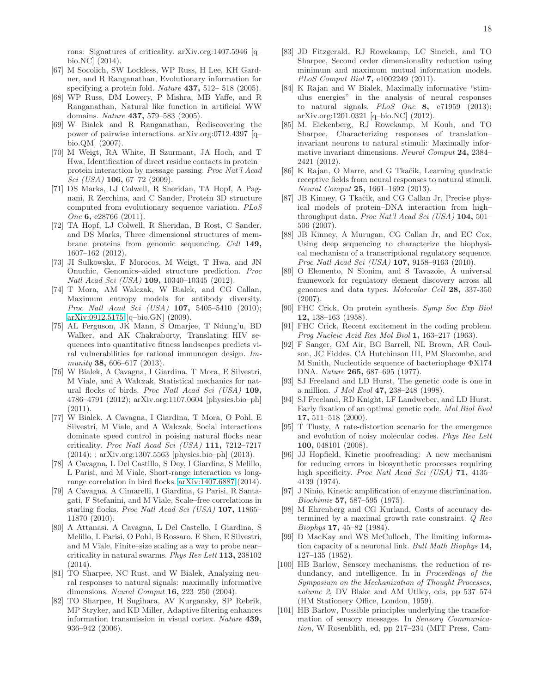rons: Signatures of criticality. arXiv.org:1407.5946 [q– bio.NC] (2014).

- <span id="page-17-0"></span>[67] M Socolich, SW Lockless, WP Russ, H Lee, KH Gardner, and R Ranganathan, Evolutionary information for specifying a protein fold. *Nature* 437, 512– 518 (2005).
- <span id="page-17-1"></span>[68] WP Russ, DM Lowery, P Mishra, MB Yaffe, and R Ranganathan, Natural–like function in artificial WW domains. *Nature* 437, 579–583 (2005).
- <span id="page-17-2"></span>[69] W Bialek and R Ranganathan, Rediscovering the power of pairwise interactions. arXiv.org:0712.4397 [q– bio.QM] (2007).
- <span id="page-17-3"></span>[70] M Weigt, RA White, H Szurmant, JA Hoch, and T Hwa, Identification of direct residue contacts in protein– protein interaction by message passing. *Proc Nat'l Acad Sci (USA)* 106, 67–72 (2009).
- [71] DS Marks, LJ Colwell, R Sheridan, TA Hopf, A Pagnani, R Zecchina, and C Sander, Protein 3D structure computed from evolutionary sequence variation. *PLoS One* 6, e28766 (2011).
- [72] TA Hopf, LJ Colwell, R Sheridan, B Rost, C Sander, and DS Marks, Three–dimensional structures of membrane proteins from genomic sequencing. *Cell* 149, 1607–162 (2012).
- <span id="page-17-4"></span>[73] JI Sulkowska, F Morocos, M Weigt, T Hwa, and JN Onuchic, Genomics–aided structure prediction. *Proc Natl Acad Sci (USA)* 109, 10340–10345 (2012).
- <span id="page-17-5"></span>[74] T Mora, AM Walczak, W Bialek, and CG Callan, Maximum entropy models for antibody diversity. *Proc Natl Acad Sci (USA)* 107, 5405–5410 (2010); [arXiv:0912.5175](http://arxiv.org/abs/0912.5175) [q–bio.GN] (2009).
- <span id="page-17-6"></span>[75] AL Ferguson, JK Mann, S Omarjee, T Ndung'u, BD Walker, and AK Chakraborty, Translating HIV sequences into quantitative fitness landscapes predicts viral vulnerabilities for rational immunogen design. *Immunity* 38, 606–617 (2013).
- <span id="page-17-7"></span>[76] W Bialek, A Cavagna, I Giardina, T Mora, E Silvestri, M Viale, and A Walczak, Statistical mechanics for natural flocks of birds. *Proc Natl Acad Sci (USA)* 109, 4786–4791 (2012); arXiv.org:1107.0604 [physics.bio–ph] (2011).
- <span id="page-17-8"></span>[77] W Bialek, A Cavagna, I Giardina, T Mora, O Pohl, E Silvestri, M Viale, and A Walczak, Social interactions dominate speed control in poising natural flocks near criticality. *Proc Natl Acad Sci (USA)* 111, 7212–7217  $(2014)$ ; ; arXiv.org:1307.5563 [physics.bio–ph]  $(2013)$ .
- <span id="page-17-9"></span>[78] A Cavagna, L Del Castillo, S Dey, I Giardina, S Melillo, L Parisi, and M Viale, Short-range interaction vs longrange correlation in bird flocks. [arXiv:1407.6887](http://arxiv.org/abs/1407.6887) (2014).
- <span id="page-17-10"></span>[79] A Cavagna, A Cimarelli, I Giardina, G Parisi, R Santagati, F Stefanini, and M Viale, Scale–free correlations in starling flocks. *Proc Natl Acad Sci (USA)* 107, 11865– 11870 (2010).
- <span id="page-17-11"></span>[80] A Attanasi, A Cavagna, L Del Castello, I Giardina, S Melillo, L Parisi, O Pohl, B Rossaro, E Shen, E Silvestri, and M Viale, Finite–size scaling as a way to probe near– criticality in natural swarms. *Phys Rev Lett* 113, 238102 (2014).
- <span id="page-17-12"></span>[81] TO Sharpee, NC Rust, and W Bialek, Analyzing neural responses to natural signals: maximally informative dimensions. *Neural Comput* 16, 223–250 (2004).
- <span id="page-17-13"></span>[82] TO Sharpee, H Sugihara, AV Kurgansky, SP Rebrik, MP Stryker, and KD Miller, Adaptive filtering enhances information transmission in visual cortex. *Nature* 439, 936–942 (2006).
- [83] JD Fitzgerald, RJ Rowekamp, LC Sincich, and TO Sharpee, Second order dimensionality reduction using minimum and maximum mutual information models. *PLoS Comput Biol* 7, e1002249 (2011).
- [84] K Rajan and W Bialek, Maximally informative "stimulus energies" in the analysis of neural responses to natural signals. *PLoS One* 8, e71959 (2013); arXiv.org:1201.0321 [q–bio.NC] (2012).
- [85] M. Eickenberg, RJ Rowekamp, M Kouh, and TO Sharpee, Characterizing responses of translation– invariant neurons to natural stimuli: Maximally informative invariant dimensions. *Neural Comput* 24, 2384– 2421 (2012).
- <span id="page-17-14"></span>[86] K Rajan, O Marre, and G Tkačik, Learning quadratic receptive fields from neural responses to natural stimuli. *Neural Comput* 25, 1661–1692 (2013).
- <span id="page-17-15"></span>[87] JB Kinney, G Tkačik, and CG Callan Jr, Precise physical models of protein–DNA interaction from high– throughput data. *Proc Nat'l Acad Sci (USA)* 104, 501– 506 (2007).
- <span id="page-17-16"></span>[88] JB Kinney, A Murugan, CG Callan Jr, and EC Cox, Using deep sequencing to characterize the biophysical mechanism of a transcriptional regulatory sequence. *Proc Natl Acad Sci (USA)* 107, 9158–9163 (2010).
- <span id="page-17-17"></span>[89] O Elemento, N Slonim, and S Tavazoie, A universal framework for regulatory element discovery across all genomes and data types. *Molecular Cell* 28, 337-350 (2007).
- <span id="page-17-18"></span>[90] FHC Crick, On protein synthesis. *Symp Soc Exp Biol* 12, 138–163 (1958).
- <span id="page-17-19"></span>[91] FHC Crick, Recent excitement in the coding problem. *Prog Nucleic Acid Res Mol Biol* 1, 163–217 (1963).
- <span id="page-17-20"></span>[92] F Sanger, GM Air, BG Barrell, NL Brown, AR Coulson, JC Fiddes, CA Hutchinson III, PM Slocombe, and M Smith, Nucleotide sequence of bacteriophage ΦX174 DNA. *Nature* 265, 687–695 (1977).
- <span id="page-17-21"></span>[93] SJ Freeland and LD Hurst, The genetic code is one in a million. *J Mol Evol* 47, 238–248 (1998).
- <span id="page-17-22"></span>[94] SJ Freeland, RD Knight, LF Landweber, and LD Hurst, Early fixation of an optimal genetic code. *Mol Biol Evol* 17, 511–518 (2000).
- <span id="page-17-23"></span>[95] T Tlusty, A rate-distortion scenario for the emergence and evolution of noisy molecular codes. *Phys Rev Lett* 100, 048101 (2008).
- <span id="page-17-24"></span>[96] JJ Hopfield, Kinetic proofreading: A new mechanism for reducing errors in biosynthetic processes requiring high specificity. *Proc Natl Acad Sci (USA)* 71, 4135– 4139 (1974).
- <span id="page-17-25"></span>[97] J Ninio, Kinetic amplification of enzyme discrimination. *Biochimie* 57, 587–595 (1975).
- <span id="page-17-26"></span>[98] M Ehrenberg and CG Kurland, Costs of accuracy determined by a maximal growth rate constraint. *Q Rev Biophys* 17, 45–82 (1984).
- <span id="page-17-27"></span>[99] D MacKay and WS McCulloch, The limiting information capacity of a neuronal link. *Bull Math Biophys* 14, 127–135 (1952).
- <span id="page-17-28"></span>[100] HB Barlow, Sensory mechanisms, the reduction of redundancy, and intelligence. In in *Proceedings of the Symposium on the Mechanization of Thought Processes, volume 2*, DV Blake and AM Utlley, eds, pp 537–574 (HM Stationery Office, London, 1959).
- <span id="page-17-29"></span>[101] HB Barlow, Possible principles underlying the transformation of sensory messages. In *Sensory Communication*, W Rosenblith, ed, pp 217–234 (MIT Press, Cam-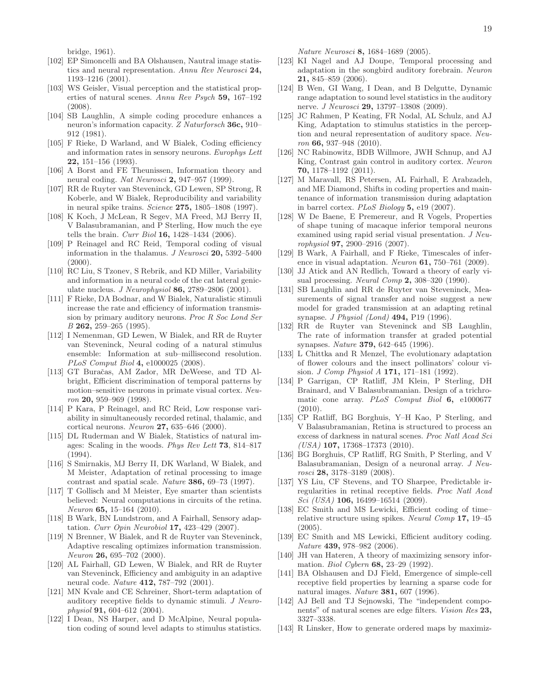bridge, 1961).

- <span id="page-18-0"></span>[102] EP Simoncelli and BA Olshausen, Nautral image statistics and neural representation. *Annu Rev Neurosci* 24, 1193–1216 (2001).
- <span id="page-18-1"></span>[103] WS Geisler, Visual perception and the statistical properties of natural scenes. *Annu Rev Psych* 59, 167–192 (2008).
- <span id="page-18-2"></span>[104] SB Laughlin, A simple coding procedure enhances a neuron's information capacity. *Z Naturforsch* 36c, 910– 912 (1981).
- <span id="page-18-3"></span>[105] F Rieke, D Warland, and W Bialek, Coding efficiency and information rates in sensory neurons. *Europhys Lett* 22, 151–156 (1993).
- <span id="page-18-4"></span>[106] A Borst and FE Theunissen, Information theory and neural coding. *Nat Neurosci* 2, 947–957 (1999).
- <span id="page-18-5"></span>[107] RR de Ruyter van Steveninck, GD Lewen, SP Strong, R Koberle, and W Bialek, Reproducibility and variability in neural spike trains. *Science* 275, 1805–1808 (1997).
- <span id="page-18-6"></span>[108] K Koch, J McLean, R Segev, MA Freed, MJ Berry II, V Balasubramanian, and P Sterling, How much the eye tells the brain. *Curr Biol* 16, 1428–1434 (2006).
- <span id="page-18-7"></span>[109] P Reinagel and RC Reid, Temporal coding of visual information in the thalamus. *J Neurosci* 20, 5392–5400 (2000).
- <span id="page-18-8"></span>[110] RC Liu, S Tzonev, S Rebrik, and KD Miller, Variability and information in a neural code of the cat lateral geniculate nucleus. *J Neurophysiol* 86, 2789–2806 (2001).
- <span id="page-18-9"></span>[111] F Rieke, DA Bodnar, and W Bialek, Naturalistic stimuli increase the rate and efficiency of information transmission by primary auditory neurons. *Proc R Soc Lond Ser B* 262, 259–265 (1995).
- <span id="page-18-10"></span>[112] I Nemenman, GD Lewen, W Bialek, and RR de Ruyter van Steveninck, Neural coding of a natural stimulus ensemble: Information at sub–millisecond resolution. *PLoS Comput Biol* 4, e1000025 (2008).
- <span id="page-18-11"></span>[113] GT Buračas, AM Zador, MR DeWeese, and TD Albright, Efficient discrimination of temporal patterns by motion–sensitive neurons in primate visual cortex. *Neuron* 20, 959–969 (1998).
- <span id="page-18-12"></span>[114] P Kara, P Reinagel, and RC Reid, Low response variability in simultaneously recorded retinal, thalamic, and cortical neurons. *Neuron* 27, 635–646 (2000).
- <span id="page-18-13"></span>[115] DL Ruderman and W Bialek, Statistics of natural images: Scaling in the woods. *Phys Rev Lett* 73, 814–817 (1994).
- <span id="page-18-14"></span>[116] S Smirnakis, MJ Berry II, DK Warland, W Bialek, and M Meister, Adaptation of retinal processing to image contrast and spatial scale. *Nature* 386, 69–73 (1997).
- <span id="page-18-15"></span>[117] T Gollisch and M Meister, Eye smarter than scientists believed: Neural computations in circuits of the retina. *Neuron* 65, 15–164 (2010).
- <span id="page-18-16"></span>[118] B Wark, BN Lundstrom, and A Fairhall, Sensory adaptation. *Curr Opin Neurobiol* 17, 423–429 (2007).
- <span id="page-18-17"></span>[119] N Brenner, W Bialek, and R de Ruyter van Steveninck, Adaptive rescaling optimizes information transmission. *Neuron* 26, 695–702 (2000).
- <span id="page-18-18"></span>[120] AL Fairhall, GD Lewen, W Bialek, and RR de Ruyter van Steveninck, Efficiency and ambiguity in an adaptive neural code. *Nature* 412, 787–792 (2001).
- <span id="page-18-19"></span>[121] MN Kvale and CE Schreiner, Short-term adaptation of auditory receptive fields to dynamic stimuli. *J Neurophysiol* 91, 604–612 (2004).
- [122] I Dean, NS Harper, and D McAlpine, Neural population coding of sound level adapts to stimulus statistics.

*Nature Neurosci* 8, 1684–1689 (2005).

- [123] KI Nagel and AJ Doupe, Temporal processing and adaptation in the songbird auditory forebrain. *Neuron* 21, 845–859 (2006).
- [124] B Wen, GI Wang, I Dean, and B Delgutte, Dynamic range adaptation to sound level statistics in the auditory nerve. *J Neurosci* 29, 13797–13808 (2009).
- [125] JC Rahmen, P Keating, FR Nodal, AL Schulz, and AJ King, Adaptation to stimulus statistics in the perception and neural representation of auditory space. *Neuron* 66, 937–948 (2010).
- <span id="page-18-20"></span>[126] NC Rabinowitz, BDB Willmore, JWH Schnup, and AJ King, Contrast gain control in auditory cortex. *Neuron* 70, 1178–1192 (2011).
- <span id="page-18-21"></span>[127] M Maravall, RS Petersen, AL Fairhall, E Arabzadeh, and ME Diamond, Shifts in coding properties and maintenance of information transmission during adaptation in barrel cortex. *PLoS Biology* 5, e19 (2007).
- <span id="page-18-22"></span>[128] W De Baene, E Premereur, and R Vogels, Properties of shape tuning of macaque inferior temporal neurons examined using rapid serial visual presentation. *J Neurophysiol* 97, 2900–2916 (2007).
- <span id="page-18-23"></span>[129] B Wark, A Fairhall, and F Rieke, Timescales of inference in visual adaptation. *Neuron* 61, 750–761 (2009).
- <span id="page-18-24"></span>[130] JJ Atick and AN Redlich, Toward a theory of early visual processing. *Neural Comp* 2, 308–320 (1990).
- <span id="page-18-25"></span>[131] SB Laughlin and RR de Ruyter van Steveninck, Measurements of signal transfer and noise suggest a new model for graded transmission at an adapting retinal synapse. *J Physiol (Lond)* 494, P19 (1996).
- <span id="page-18-26"></span>[132] RR de Ruyter van Steveninck and SB Laughlin, The rate of information transfer at graded potential synapses. *Nature* 379, 642–645 (1996).
- <span id="page-18-27"></span>[133] L Chittka and R Menzel, The evolutionary adaptation of flower colours and the insect pollinators' colour vision. *J Comp Physiol A* 171, 171–181 (1992).
- <span id="page-18-28"></span>[134] P Garrigan, CP Ratliff, JM Klein, P Sterling, DH Brainard, and V Balasubramanian. Design of a trichromatic cone array. *PLoS Comput Biol* 6, e1000677 (2010).
- <span id="page-18-29"></span>[135] CP Ratliff, BG Borghuis, Y–H Kao, P Sterling, and V Balasubramanian, Retina is structured to process an excess of darkness in natural scenes. *Proc Natl Acad Sci (USA)* 107, 17368–17373 (2010).
- <span id="page-18-30"></span>[136] BG Borghuis, CP Ratliff, RG Smith, P Sterling, and V Balasubramanian, Design of a neuronal array. *J Neurosci* 28, 3178–3189 (2008).
- <span id="page-18-31"></span>[137] YS Liu, CF Stevens, and TO Sharpee, Predictable irregularities in retinal receptive fields. *Proc Natl Acad Sci (USA)* 106, 16499–16514 (2009).
- <span id="page-18-32"></span>[138] EC Smith and MS Lewicki, Efficient coding of time– relative structure using spikes. *Neural Comp* 17, 19–45 (2005).
- <span id="page-18-33"></span>[139] EC Smith and MS Lewicki, Efficient auditory coding. *Nature* 439, 978–982 (2006).
- <span id="page-18-34"></span>[140] JH van Hateren, A theory of maximizing sensory information. *Biol Cybern* 68, 23–29 (1992).
- <span id="page-18-35"></span>[141] BA Olshausen and DJ Field, Emergence of simple-cell receptive field properties by learning a sparse code for natural images. *Nature* 381, 607 (1996).
- <span id="page-18-36"></span>[142] AJ Bell and TJ Sejnowski, The "independent components" of natural scenes are edge filters. *Vision Res* 23, 3327–3338.
- <span id="page-18-37"></span>[143] R Linsker, How to generate ordered maps by maximiz-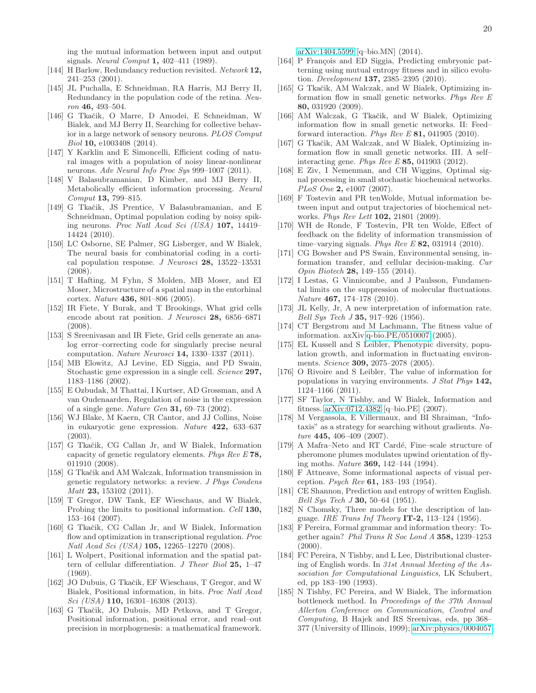ing the mutual information between input and output signals. *Neural Comput* 1, 402–411 (1989).

- <span id="page-19-0"></span>[144] H Barlow, Redundancy reduction revisited. *Network* 12, 241–253 (2001).
- <span id="page-19-1"></span>[145] JL Puchalla, E Schneidman, RA Harris, MJ Berry II, Redundancy in the population code of the retina. *Neuron* 46, 493–504.
- <span id="page-19-2"></span>[146] G Tkačik, O Marre, D Amodei, E Schneidman, W Bialek, and MJ Berry II, Searching for collective behavior in a large network of sensory neurons. *PLOS Comput Biol* 10, e1003408 (2014).
- <span id="page-19-3"></span>[147] Y Karklin and E Simoncelli, Efficient coding of natural images with a population of noisy linear-nonlinear neurons. *Adv Neural Info Proc Sys* 999–1007 (2011).
- <span id="page-19-4"></span>[148] V Balasubramanian, D Kimber, and MJ Berry II, Metabolically efficient information processing. *Neural Comput* 13, 799–815.
- <span id="page-19-5"></span>[149] G Tkačik, JS Prentice, V Balasubramanian, and E Schneidman, Optimal population coding by noisy spiking neurons. *Proc Natl Acad Sci (USA)* 107, 14419– 14424 (2010).
- <span id="page-19-6"></span>[150] LC Osborne, SE Palmer, SG Lisberger, and W Bialek, The neural basis for combinatorial coding in a cortical population response. *J Neurosci* 28, 13522–13531 (2008).
- <span id="page-19-7"></span>[151] T Hafting, M Fyhn, S Molden, MB Moser, and EI Moser, Microstructure of a spatial map in the entorhinal cortex. *Nature* 436, 801–806 (2005).
- <span id="page-19-8"></span>[152] IR Fiete, Y Burak, and T Brookings, What grid cells encode about rat position. *J Neurosci* 28, 6856–6871 (2008).
- <span id="page-19-9"></span>[153] S Sreenivasan and IR Fiete, Grid cells generate an analog error–correcting code for singularly precise neural computation. *Nature Neurosci* 14, 1330–1337 (2011).
- <span id="page-19-10"></span>[154] MB Elowitz, AJ Levine, ED Siggia, and PD Swain, Stochastic gene expression in a single cell. *Science* 297, 1183–1186 (2002).
- [155] E Ozbudak, M Thattai, I Kurtser, AD Grossman, and A van Oudenaarden, Regulation of noise in the expression of a single gene. *Nature Gen* 31, 69–73 (2002).
- <span id="page-19-11"></span>[156] WJ Blake, M Kaern, CR Cantor, and JJ Collins, Noise in eukaryotic gene expression. *Nature* 422, 633–637 (2003).
- <span id="page-19-12"></span>[157] G Tkačik, CG Callan Jr, and W Bialek, Information capacity of genetic regulatory elements. *Phys Rev E* 78, 011910 (2008).
- <span id="page-19-13"></span>[158] G Tkačik and AM Walczak, Information transmission in genetic regulatory networks: a review. *J Phys Condens Matt* 23, 153102 (2011).
- <span id="page-19-14"></span>[159] T Gregor, DW Tank, EF Wieschaus, and W Bialek, Probing the limits to positional information. *Cell* 130, 153–164 (2007).
- <span id="page-19-15"></span>[160] G Tkačik, CG Callan Jr, and W Bialek, Information flow and optimization in transcriptional regulation. *Proc Natl Acad Sci (USA)* 105, 12265–12270 (2008).
- <span id="page-19-16"></span>[161] L Wolpert, Positional information and the spatial pattern of cellular differentiation. *J Theor Biol* 25, 1–47 (1969).
- <span id="page-19-17"></span>[162] JO Dubuis, G Tkačik, EF Wieschaus, T Gregor, and W Bialek, Positional information, in bits. *Proc Natl Acad Sci (USA)* 110, 16301–16308 (2013).
- <span id="page-19-18"></span>[163] G Tkačik, JO Dubuis, MD Petkova, and T Gregor, Positional information, positional error, and read–out precision in morphogenesis: a mathematical framework.

[arXiv:1404.5599](http://arxiv.org/abs/1404.5599) [q–bio.MN] (2014).

- <span id="page-19-19"></span>[164] P François and ED Siggia, Predicting embryonic patterning using mutual entropy fitness and in silico evolution. *Development* 137, 2385–2395 (2010).
- <span id="page-19-20"></span>[165] G Tkačik, AM Walczak, and W Bialek, Optimizing information flow in small genetic networks. *Phys Rev E* 80, 031920 (2009).
- [166] AM Walczak, G Tkačik, and W Bialek, Optimizing information flow in small genetic networks. II: Feed– forward interaction. *Phys Rev E* 81, 041905 (2010).
- <span id="page-19-21"></span>[167] G Tkačik, AM Walczak, and W Bialek, Optimizing information flow in small genetic networks. III. A self– interacting gene. *Phys Rev E* 85, 041903 (2012).
- <span id="page-19-22"></span>[168] E Ziv, I Nemenman, and CH Wiggins, Optimal signal processing in small stochastic biochemical networks. *PLoS One* 2, e1007 (2007).
- <span id="page-19-23"></span>[169] F Tostevin and PR tenWolde, Mutual information between input and output trajectories of biochemical networks. *Phys Rev Lett* 102, 21801 (2009).
- <span id="page-19-24"></span>[170] WH de Ronde, F Tostevin, PR ten Wolde, Effect of feedback on the fidelity of information transmission of time–varying signals. *Phys Rev E* 82, 031914 (2010).
- <span id="page-19-25"></span>[171] CG Bowsher and PS Swain, Environmental sensing, information transfer, and cellular decision-making. *Cur Opin Biotech* 28, 149–155 (2014).
- <span id="page-19-26"></span>[172] I Lestas, G Vinnicombe, and J Paulsson, Fundamental limits on the suppression of molecular fluctuations. *Nature* 467, 174–178 (2010).
- <span id="page-19-27"></span>[173] JL Kelly, Jr, A new interpretation of information rate. *Bell Sys Tech J* 35, 917–926 (1956).
- <span id="page-19-28"></span>[174] CT Bergstrom and M Lachmann, The fitness value of information. axXiv[:q-bio.PE/0510007](http://arxiv.org/abs/q-bio/0510007) (2005).
- [175] EL Kussell and S Leibler, Phenotypic diversity, population growth, and information in fluctuating environments. *Science* 309, 2075–2078 (2005).
- <span id="page-19-29"></span>[176] O Rivoire and S Leibler, The value of information for populations in varying environments. *J Stat Phys* 142, 1124–1166 (2011).
- <span id="page-19-30"></span>[177] SF Taylor, N Tishby, and W Bialek, Information and fitness. [arXiv:0712.4382](http://arxiv.org/abs/0712.4382) [q–bio.PE] (2007).
- <span id="page-19-31"></span>[178] M Vergassola, E Villermaux, and BI Shraiman, "Infotaxis" as a strategy for searching without gradients. *Nature* 445, 406–409 (2007).
- <span id="page-19-33"></span>[179] A Mafra–Neto and RT Cardé, Fine–scale structure of pheromone plumes modulates upwind orientation of flying moths. *Nature* 369, 142–144 (1994).
- <span id="page-19-32"></span>[180] F Attneave, Some informational aspects of visual perception. *Psych Rev* 61, 183–193 (1954).
- <span id="page-19-34"></span>[181] CE Shannon, Prediction and entropy of written English. *Bell Sys Tech J* 30, 50–64 (1951).
- <span id="page-19-35"></span>[182] N Chomsky, Three models for the description of language. *IRE Trans Inf Theory* IT-2, 113–124 (1956).
- <span id="page-19-38"></span>[183] F Pereira, Formal grammar and information theory: Together again? *Phil Trans R Soc Lond A* 358, 1239–1253  $(2000).$
- <span id="page-19-36"></span>[184] FC Pereira, N Tishby, and L Lee, Distributional clustering of English words. In *31st Annual Meeting of the Association for Computational Linguistics,* LK Schubert, ed, pp 183–190 (1993).
- <span id="page-19-37"></span>[185] N Tishby, FC Pereira, and W Bialek, The information bottleneck method. In *Proceedings of the 37th Annual Allerton Conference on Communication, Control and Computing,* B Hajek and RS Sreenivas, eds, pp 368– 377 (University of Illinois, 1999); [arXiv:physics/0004057](http://arxiv.org/abs/physics/0004057)